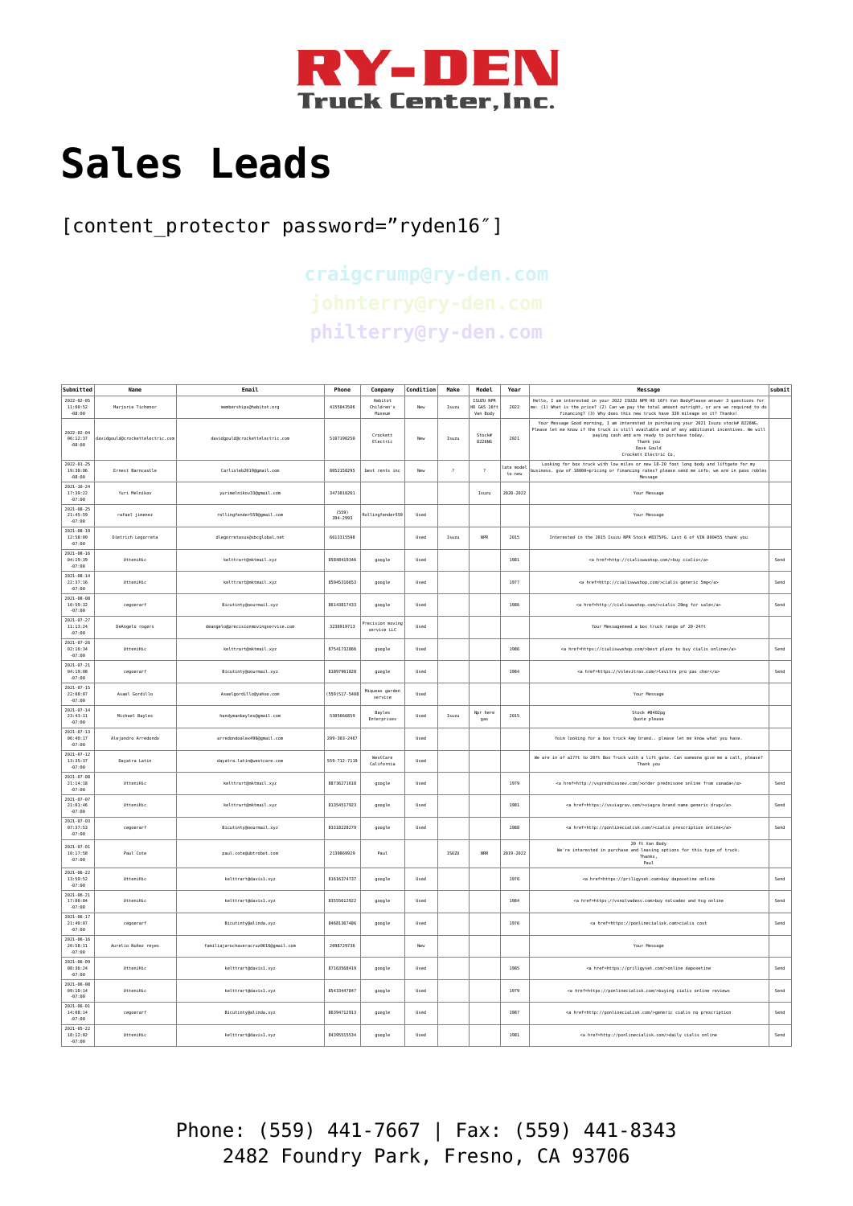

# **[Sales Leads](https://ry-den.com/sales-leads/)**

[content\_protector password="ryden16″]

## **craigcrump@ry-den.com philterry@ry-den.com**

| Submitted                                | Name                            | Email                                | Phone             | Company                         | Condition | Make                    | Model                                | Year                | Message                                                                                                                                                                                                                                                                                     | submit |
|------------------------------------------|---------------------------------|--------------------------------------|-------------------|---------------------------------|-----------|-------------------------|--------------------------------------|---------------------|---------------------------------------------------------------------------------------------------------------------------------------------------------------------------------------------------------------------------------------------------------------------------------------------|--------|
| $2022 - 02 - 05$<br>11:00:52<br>$-08:00$ | Marjorie Tichenor               | memberships@habitot.org              | 4155043506        | Habitot<br>Children's<br>Museum | New       | Isuzu                   | ISUZU NPR<br>HD GAS 16ft<br>Van Body | 2022                | Hello, I am interested in your 2022 ISUZU NPR HD 16ft Van BodyPlease answer 3 questions for<br>me: (1) What is the price? (2) Can we pay the total amount outright, or are we required to do<br>financing? (3) Why does this new truck have 330 mileage on it? Thanks!                      |        |
| $2022 - 02 - 04$<br>06:12:37<br>$-08:00$ | davidgould@crockettelectric.com | davidgould@crockettelectric.com      | 5107190256        | Crockett<br>Electric            | New       | Isuzu                   | Stock#<br>8226NG                     | 2021                | Your Message Good morning, I am interested in purchasing your 2021 Isuzu stock# 8226NG.<br>Please let me know if the truck is still available and of any additional incentives. We will<br>paying cash and are ready to purchase today.<br>Thank you<br>Dave Gould<br>Crockett Electric Co, |        |
| $2022 - 01 - 25$<br>19:30:06<br>$-08:00$ | Ernest Barncastle               | Carlisleb2019@gmail.com              | 8052158295        | best rents inc                  | New       | $\overline{\mathbf{z}}$ | $\overline{\phantom{a}}$             | Late mode<br>to new | Looking for box truck with low miles or new 18-20 foot long body and liftgate for my<br>business. gvw of 18000+pricing or financing rates? please send me info. we are in paso robles<br>Message                                                                                            |        |
| $2021 - 10 - 24$<br>17:39:22<br>$-07:00$ | Yuri Melnikov                   | yurimelnikov33@gmail.com             | 3473010261        |                                 |           |                         | Isuzu                                | 2020-2022           | Your Message                                                                                                                                                                                                                                                                                |        |
| $2021 - 08 - 25$<br>21:45:59<br>$-07:00$ | rafael jimenez                  | rollingfender559@gmail.com           | (559)<br>394-2993 | Rollingfender559                | Used      |                         |                                      |                     | Your Message                                                                                                                                                                                                                                                                                |        |
| $2021 - 08 - 19$<br>12:58:09<br>$-07:00$ | Dietrich Legorreta              | dlegorretasus@sbcglobal.net          | 6613315598        |                                 | lised     | Isuzu                   | <b>NPR</b>                           | 2015                | Interested in the 2015 Isuzu NPR Stock #8375PG, Last 6 of VIN 800455 thank you                                                                                                                                                                                                              |        |
| $2021 - 08 - 16$<br>04:19:39<br>$-07:00$ | UtteniHic                       | kelttrart@mktmail.xyz                | 85848419346       | google                          | Used      |                         |                                      | 1981                | <a href="http://cialiswwshop.com/">buy cialis</a>                                                                                                                                                                                                                                           | Send   |
| $2021 - 08 - 14$<br>22:37:16<br>$-07:00$ | UtteniHic                       | kelttrart@mktmail.xyz                | 85945316653       | google                          | Used      |                         |                                      | 1977                | <a href="http://cialiswwshop.com/">cialis generic 5mg</a>                                                                                                                                                                                                                                   | Send   |
| $2021 - 08 - 08$<br>10:59:32<br>$-07:00$ | cegoerarf                       | Bicutinty@oourmail.xyz               | 86143817433       | google                          | Used      |                         |                                      | 1986                | <a href="http://cialiswwshop.com/">cialis 20mg for sale</a>                                                                                                                                                                                                                                 | Send   |
| $2021 - 07 - 27$<br>11:13:24<br>$-07:00$ | DeAngelo rogers                 | deangelo@precisionmovingservice.com  | 3236919713        | recision moving<br>service LLC  | Used      |                         |                                      |                     | Your Messageneed a box truck range of 20-24ft                                                                                                                                                                                                                                               |        |
| $2021 - 07 - 26$<br>02:16:34<br>$-07:00$ | UtteniHic                       | kelttrart@mktmail.xyz                | 87541732866       | google                          | Used      |                         |                                      | 1986                | <a href="https://cialiswwshop.com/">best place to buy cialis online</a>                                                                                                                                                                                                                     | Send   |
| $2021 - 07 - 21$<br>04:19:08<br>$-07:00$ | cegoerarf                       | Bicutinty@oourmail.xyz               | 81897961828       | google                          | Used      |                         |                                      | 1984                | <a href="https://vslevitrav.com/">levitra pro pas cher</a>                                                                                                                                                                                                                                  | Send   |
| 2021-07-15<br>22:08:07<br>$-07:00$       | Asael Gordillo                  | Asaelgordillo@yahoo.com              | (559) 517-5408    | Miqueas garden<br>service       | Used      |                         |                                      |                     | Your Message                                                                                                                                                                                                                                                                                |        |
| $2021 - 07 - 14$<br>23:43:11<br>$-07:00$ | Michael Bayles                  | handymanbayles@gmail.com             | 5385666859        | Bayles<br>Enterprises           | Used      | Isuzu                   | Npr here<br>gas                      | 2015                | Stock #8402pg<br>Quote please                                                                                                                                                                                                                                                               |        |
| $2021 - 07 - 13$<br>06:40:17<br>$-07:00$ | Alejandro Arredondo             | arredondoalex496@gmail.com           | 209-303-2467      |                                 | Used      |                         |                                      |                     | Yoim looking for a box truck Amy brand please let me know what you have.                                                                                                                                                                                                                    |        |
| $2021 - 07 - 12$<br>13:35:37<br>$-07:00$ | Dayatra Latin                   | dayatra.latin@westcare.com           | 559-712-7119      | WestCare<br>California          | Used      |                         |                                      |                     | We are in of al7ft to 20ft Box Truck with a lift gate. Can someone give me a call, please?<br>Thank you                                                                                                                                                                                     |        |
| 2021-07-08<br>21:14:18<br>$-07:00$       | UtteniHic                       | kelttrart@mktmail.xyz                | 88736271618       | google                          | Used      |                         |                                      | 1979                | <a href="http://vsprednisonev.com/">order prednisone online from canada</a>                                                                                                                                                                                                                 | Send   |
| $2021 - 07 - 07$<br>21:01:46<br>$-07:00$ | UtteniHic                       | kelttrart@mktmail.xyz                | 81354517923       | google                          | Used      |                         |                                      | 1981                | <a href="https://vsviagrav.com/">viagra brand name generic drug</a>                                                                                                                                                                                                                         | Send   |
| $2021 - 07 - 03$<br>07:37:53<br>$-07:00$ | cegoerarf                       | Bicutinty@oourmail.xyz               | 83318228279       | google                          | Used      |                         |                                      | 1988                | <a href="http://ponlinecialisk.com/">cialis prescription online</a>                                                                                                                                                                                                                         | Send   |
| $2021 - 07 - 01$<br>10:17:58<br>$-07:00$ | Paul Cote                       | paul.cote@ubtrobot.com               | 2139869929        | Paul                            |           | <b>TSU70</b>            | <b>NRR</b>                           | 2019-2022           | 20 ft Van Body<br>We're interested in purchase and leasing options for this type of truck.<br>Thanks,<br>Paul                                                                                                                                                                               |        |
| $2021 - 06 - 22$<br>13:59:52<br>$-07:00$ | UtteniHic                       | kelttrart@davisl.xvz                 | 81616374737       | google                          | Used      |                         |                                      | 1976                | <a href="https://priligyset.com">buy dapoxetine online</a>                                                                                                                                                                                                                                  | Send   |
| 2821-86-21<br>17:00:04<br>$-07:00$       | UtteniHic                       | kelttrart@davisl.xvz                 | 83555612922       | google                          | Used      |                         |                                      | 1984                | <a href="https://ysnolyadexy.com">buy nolyadex and hcq online</a>                                                                                                                                                                                                                           | Send   |
| 2021-06-17<br>21:40:07<br>$-07:00$       | cegoerarf                       | Bicutinty@alinda.xyz                 | 84681367486       | google                          | Used      |                         |                                      | 1976                | <a href="https://ponlinecialisk.com">cialis cost</a>                                                                                                                                                                                                                                        | Send   |
| $2021 - 06 - 16$<br>20:58:11<br>$-07:00$ | Aurelio Nuñez reyes             | familiajarochaveracruz0616@gmail.com | 2098729736        |                                 | New       |                         |                                      |                     | Your Message                                                                                                                                                                                                                                                                                |        |
| $2021 - 06 - 09$<br>08:36:24<br>$-07:00$ | UtteniHic                       | kelttrart@davisl.xyz                 | 87163568419       | google                          | Used      |                         |                                      | 1985                | <a href="https://priligyset.com/">online dapoxetine</a>                                                                                                                                                                                                                                     | Send   |
| $2021 - 06 - 08$<br>09:10:14<br>$-07:00$ | UtteniHic                       | kelttrart@davisl.xyz                 | 85433447847       | google                          | Used      |                         |                                      | 1979                | <a href="https://ponlinecialisk.com/">buying cialis online reviews</a>                                                                                                                                                                                                                      | Send   |
| $2021 - 06 - 01$<br>14:08:14<br>$-07:00$ | cegoerarf                       | Bicutinty@alinda.xyz                 | 86394712913       | google                          | Used      |                         |                                      | 1987                | <a href="http://ponlinecialisk.com/">generic cialis no prescription</a>                                                                                                                                                                                                                     |        |
| $2021 - 05 - 22$<br>18:12:02<br>$-07:00$ | UtteniHic                       | kelttrart@davisl.xyz                 | 84395515534       | google                          | Used      |                         |                                      | 1981                | <a href="http://ponlinecialisk.com/">daily cialis online</a>                                                                                                                                                                                                                                |        |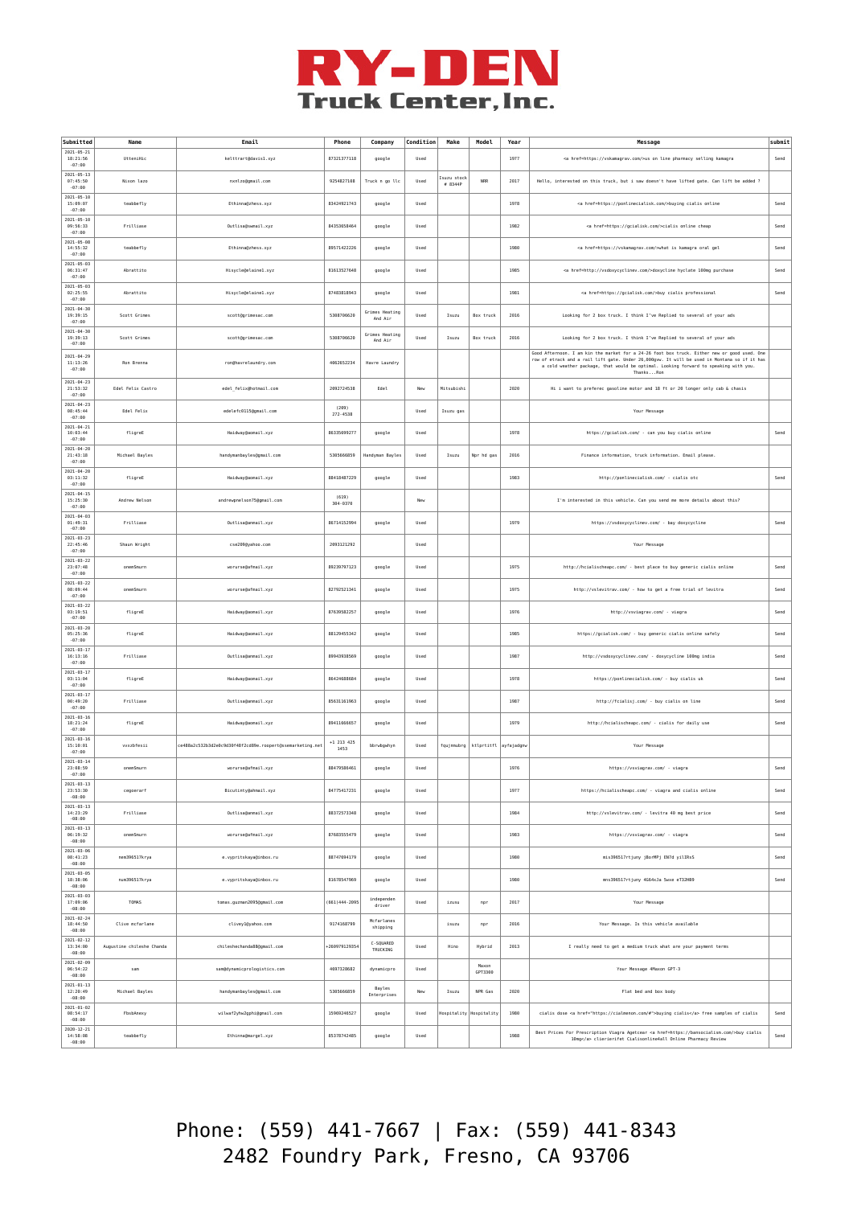

| Submitted                                            | Name                      | Email                                                     | Phone                | Company                   | Condition | Make                   | Model            | Year       | Message                                                                                                                                                                                                                                                                                           |      |
|------------------------------------------------------|---------------------------|-----------------------------------------------------------|----------------------|---------------------------|-----------|------------------------|------------------|------------|---------------------------------------------------------------------------------------------------------------------------------------------------------------------------------------------------------------------------------------------------------------------------------------------------|------|
| $2021 - 05 - 21$<br>18:21:56<br>$-07:00$             | UtteniHic                 | kelttrart@davisl.xyz                                      | 87321377118          | google                    | Used      |                        |                  | 1977       | <a href="https://vskamagrav.com/">us on line pharmacy selling kamagra</a>                                                                                                                                                                                                                         | Send |
| $2021 - 05 - 13$<br>07:45:50<br>$-07:00$             | Nixon lazo                | nxnlzo@amail.com                                          | 9254827108           | Truck n go llc            | Used      | Isuzu stock<br># 8344P | <b>NRR</b>       | 2017       | Hello, interested on this truck, but i saw doesn't have lifted gate. Can lift be added ?                                                                                                                                                                                                          |      |
| $2021 - 05 - 10$<br>15:09:07<br>$-07:00$             | teabbefly                 | Ethinna@zhess.xyz                                         | 83424921743          | google                    | Used      |                        |                  | 1978       | <a href="https://ponlinecialisk.com/">buying cialis online</a>                                                                                                                                                                                                                                    | Send |
| $2021 - 05 - 10$<br>09:56:33<br>$-07:00$             | Frilliase                 | Outlisa@swmail.xyz                                        | 84353658464          | google                    | Used      |                        |                  | 1982       | <a href="https://gcialisk.com/">cialis online cheap</a>                                                                                                                                                                                                                                           | Send |
| $2021 - 05 - 08$<br>14:55:32<br>$-07:00$             | teabbefly                 | Ethinna@zhess.xyz                                         | 89571422226          | google                    | Used      |                        |                  | 1980       | <a href="https://vskamagrav.com/">what is kamagra oral gel</a>                                                                                                                                                                                                                                    | Send |
| $2021 - 05 - 03$<br>06:31:47<br>$-07:00$             | Abrattito                 | Hisycle@elainel.xy2                                       | 81613527648          | google                    | Used      |                        |                  | 1985       | <a href="http://vsdoxycyclinev.com/">doxycline hyclate 100mg purchase</a>                                                                                                                                                                                                                         | Send |
| $2021 - 05 - 03$<br>02:25:55<br>$-07:00$             | Abrattito                 | Hisycle@elainel.xyz                                       | 87483818943          | google                    | Used      |                        |                  | 1981       | <a href="https://gcialisk.com/">buy cialis professional</a>                                                                                                                                                                                                                                       | Send |
| $2021 - 04 - 30$<br>19:39:15<br>$-07:00$             | Scott Grimes              | scott@grimesac.com                                        | 5308706620           | Grimes Heating<br>And Air | Used      | Isuzu                  | Box truck        | 2016       | Looking for 2 box truck. I think I've Replied to several of your ads                                                                                                                                                                                                                              |      |
| $2021 - 04 - 30$<br>19:39:13<br>$-07:00$             | Scott Grimes              | scott@grimesac.com                                        | 5308706620           | Grimes Heating<br>And Air | Used      | Isuzu                  | Box truck        | 2016       | Looking for 2 box truck. I think I've Replied to several of your ads                                                                                                                                                                                                                              |      |
| $2021 - 04 - 29$<br>11:13:26<br>$-07:00$             | Ron Brenna                | ron@havrelaundry.com                                      | 4062652234           | Havre Laundry             |           |                        |                  |            | Good Afternoon. I am kin the market for a 24-26 foot box truck. Either new or good used. One<br>row of etrack and a rail lift gate. Under 26,000gvw. It will be used in Montana so if it has<br>a cold weather package, that would be optimal. Looking forward to speaking with you.<br>ThanksRon |      |
| $2021 - 04 - 23$<br>21:53:32<br>$-07:00$             | Edel Felix Castro         | edel_felix@hotmail.com                                    | 2092724538           | Edel                      | New       | Mitsubishi             |                  | 2020       | Hi i want to preferec gasoline motor and 18 ft or 20 longer only cab & chasis                                                                                                                                                                                                                     |      |
| $2021 - 04 - 23$<br>08:45:44<br>$-07:00$             | Edel Felix                | edelefc0115@gmail.com                                     | (209)<br>272-4538    |                           | Used      | Isuzu gas              |                  |            | Your Message                                                                                                                                                                                                                                                                                      |      |
| $2021 - 04 - 21$<br>10:03:44<br>$-07:00$             | fligreE                   | Haidway@aomail.xyz                                        | 86335699277          | google                    | Used      |                        |                  | 1978       | https://gcialisk.com/ - can you buy cialis online                                                                                                                                                                                                                                                 | Send |
| $2021 - 04 - 20$<br>21:43:18<br>$-07:00$             | Michael Bayles            | handymanbayles@gmail.com                                  | 5305666859           | Handyman Bayles           | Used      | Isuzu                  | Npr hd gas       | 2016       | Finance information, truck information. Email please.                                                                                                                                                                                                                                             |      |
| $2021 - 04 - 20$<br>03:11:32<br>$-07:00$             | fligreE                   | Haidway@aomail.xyz                                        | 88418487229          | google                    | Used      |                        |                  | 1983       | http://ponlinecialisk.com/ - cialis otc                                                                                                                                                                                                                                                           | Send |
| $2021 - 04 - 15$<br>15:25:30<br>$-07:00$             | Andrew Nelson             | andrewpnelson75@gmail.com                                 | (619)<br>304-0370    |                           | New       |                        |                  |            | I'm interested in this vehicle. Can you send me more details about this?                                                                                                                                                                                                                          |      |
| $2021 - 04 - 03$<br>01:49:31<br>$-07:00$             | Frilliase                 | Outlisa@anmail.xyz                                        | 86714152994          | google                    | Used      |                        |                  | 1979       | https://vsdoxycyclinev.com/ - bay doxycycline                                                                                                                                                                                                                                                     | Send |
| $2021 - 03 - 23$<br>22:45:46<br>$-07:00$             | Shaun Wright              | cse209@yahoo.com                                          | 2093121292           |                           | Used      |                        |                  |            | Your Message                                                                                                                                                                                                                                                                                      |      |
| $2021 - 03 - 22$<br>23:07:48<br>$-07:00$             | onenSmurn                 | worurse@afmail.xyz                                        | 89239797123          | google                    | Used      |                        |                  | 1975       | http://hcialischeapc.com/ - best place to buy generic cialis online                                                                                                                                                                                                                               | Send |
| $2021 - 03 - 22$<br>08:09:44<br>$-07:00$             | onenSmurn                 | worurse@afmail.xyz                                        | 82792521341          | google                    | Used      |                        |                  | 1975       | http://vslevitrav.com/ - how to get a free trial of levitra                                                                                                                                                                                                                                       | Send |
| $2021 - 03 - 22$<br>03:19:51<br>$-07:00$             | fligreE                   | Haidway@aomail.xyz                                        | 87639582257          | google                    | Used      |                        |                  | 1976       | http://vsviagrav.com/ - viagra                                                                                                                                                                                                                                                                    | Send |
| $2021 - 03 - 20$<br>05:25:36<br>$-07:00$             | fligreE                   | Haidway@aomail.xyz                                        | 88129455342          | google                    | Used      |                        |                  | 1985       | https://gcialisk.com/ - buy generic cialis online safely                                                                                                                                                                                                                                          | Send |
| $2021 - 03 - 17$<br>16:13:16<br>$-07:00$             | Frilliase                 | Outlisa@anmail.xyz                                        | 89943938569          | google                    | Used      |                        |                  | 1987       | http://vsdoxycyclinev.com/ - doxycycline 100mg india                                                                                                                                                                                                                                              | Send |
| $2021 - 03 - 17$<br>03:11:04<br>$-07:00$             | fligreE                   | Haidway@aomail.xyz                                        | 86424688684          | google                    | Used      |                        |                  | 1978       | https://ponlinecialisk.com/ - buy cialis uk                                                                                                                                                                                                                                                       | Send |
| $2021 - 03 - 17$<br>00:49:20<br>$-07:00$             | Frilliase                 | Outlisa@anmail.xyz                                        | 85631161963          | google                    | Used      |                        |                  | 1987       | http://fcialisj.com/ - buy cialis on line                                                                                                                                                                                                                                                         | Send |
| $2021 - 03 - 16$<br>18:21:24<br>$-07:00$             | fligreE                   | Haidway@aomail.xyz                                        | 89411666657          | google                    | Used      |                        |                  | 1979       | http://hcialischeapc.com/ - cialis for daily use                                                                                                                                                                                                                                                  | Send |
| $2021 - 03 - 16$<br>15:10:01                         | vvxzbfesii                | ce488a2c532b3d2e0c9d30f48f2cd89e.roopert@ssemarketing.net | $+1$ 213 425<br>1453 | bbrwbgwhyn                | Used      | fqujnmubrg             | ktlprtitfl       | ayfajadgnv | Your Message                                                                                                                                                                                                                                                                                      |      |
| $-07:00$<br>$2021 - 03 - 14$<br>23:08:59<br>$-07:00$ | onenSmurn                 | worurse@afmail.xvz                                        | 88479586461          | google                    | Used      |                        |                  | 1976       | https://vsviagrav.com/ - viagra                                                                                                                                                                                                                                                                   | Send |
| $2021 - 03 - 13$<br>23:53:30<br>$-08:00$             | cegoerarf                 | Bicutinty@ahmail.xyz                                      | 84775417231          | google                    | Used      |                        |                  | 1977       | https://hcialischeapc.com/ - viagra and cialis online                                                                                                                                                                                                                                             | Send |
| $2021 - 03 - 13$<br>14:23:29<br>$-08:00$             | Frilliase                 | Outlisa@anmail.xvz                                        | 88372573348          | google                    | Used      |                        |                  | 1984       | http://vslevitrav.com/ - levitra 40 mg best price                                                                                                                                                                                                                                                 | Send |
| $2021 - 03 - 13$<br>06:19:32<br>$-08:00$             | onenSmurn                 | worurse@afmail.xyz                                        | 87683555479          | google                    | Used      |                        |                  | 1983       | https://vsviagrav.com/ - viagra                                                                                                                                                                                                                                                                   | Send |
| $2021 - 03 - 06$<br>08:41:23<br>$-08:00$             | nem396517krya             | e.vypritskaya@inbox.ru                                    | 88747694179          | google                    | Used      |                        |                  | 1980       | mis396517rtjuny jBorMPj EN7d yilIRsS                                                                                                                                                                                                                                                              | Send |
| $2021 - 03 - 05$<br>18:38:06<br>$-08:00$             | num396517krya             | e.vypritskaya@inbox.ru                                    | 81678547969          | google                    | Used      |                        |                  | 1980       | mns396517rtjuny 4G64xJa 5wxe eT32HB9                                                                                                                                                                                                                                                              | Send |
| $2021 - 03 - 03$<br>17:09:06<br>$-08:00$             | TOMAS                     | tomas.guzman2095@gmail.com                                | $(661)444 - 2095$    | independen<br>driver      | Used      | izusu                  | npr              | 2017       | Your Message                                                                                                                                                                                                                                                                                      |      |
| $2021 - 02 - 24$<br>18:44:50<br>$-08:00$             | Clive mcfarlane           | cliveyl@yahoo.com                                         | 9174168799           | Mcfarlanes<br>shipping    |           | isuzu                  | npr              | 2016       | Your Message. Is this vehicle available                                                                                                                                                                                                                                                           |      |
| $2021 - 02 - 12$<br>13:34:00<br>$-08:00$             | Augustine chileshe Chanda | chileshechanda88@gmail.com                                | +268979129354        | C - SQUARED<br>TRUCKING   | Used      | Hino                   | Hybrid           | 2013       | I really need to get a medium truck what are your payment terms                                                                                                                                                                                                                                   |      |
| $2021 - 02 - 09$<br>06:54:22<br>$-08:00$             | sam                       | sam@dynamicprologistics.com                               | 4697328682           | dynamicpro                | Used      |                        | Maxon<br>GPT3300 |            | Your Message 4Maxon GPT-3                                                                                                                                                                                                                                                                         |      |
| $2021 - 01 - 13$<br>12:20:49<br>$-08:00$             | Michael Bayles            | handymanbayles@gmail.com                                  | 5305666859           | Bayles<br>Enterprises     | New       | Isuzu                  | NPR Gas          | 2020       | Flat bed and box body                                                                                                                                                                                                                                                                             |      |
| $2021 - 01 - 02$<br>08:54:17                         | FbsbAnexy                 | wilwaf2yhw2gphi@gmail.com                                 | 15969246527          | google                    | Used      | Hospitality            | Hospitality      | 1980       | cialis dose <a href="https://cialmenon.com/#">buying cialis</a> free samples of cialis                                                                                                                                                                                                            |      |
| $-08:00$<br>$2020 - 12 - 21$<br>14:58:08<br>$-08:00$ | teabbefly                 | Ethinna@margel.xyz                                        | 85378742485          | google                    | Used      |                        |                  | 1988       | Best Prices For Prescription Viagra Agetcear <a href="https://bansocialism.com/">buy cialis<br/>10mg</a> clierierifet Cialisonline4all Online Pharmacy Review                                                                                                                                     |      |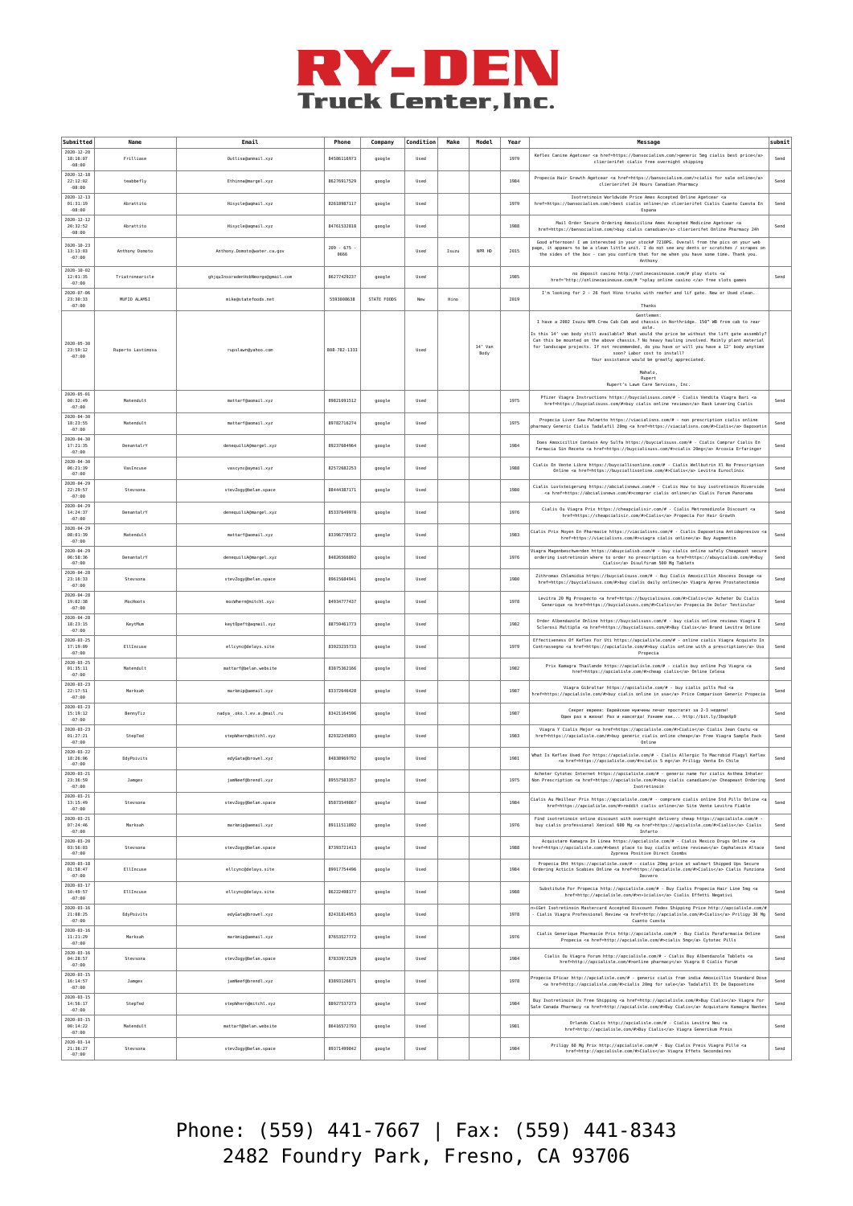

| Submitted                                            | Name              | Email                             | Phone               | Company     | Condition | Make  | Model           | Year | Message                                                                                                                                                                                                                                                                                                                                                                                                                                                                                                            | submit |
|------------------------------------------------------|-------------------|-----------------------------------|---------------------|-------------|-----------|-------|-----------------|------|--------------------------------------------------------------------------------------------------------------------------------------------------------------------------------------------------------------------------------------------------------------------------------------------------------------------------------------------------------------------------------------------------------------------------------------------------------------------------------------------------------------------|--------|
| $2020 - 12 - 20$<br>18:16:07<br>$-08:00$             | Frilliase         | Outlisa@anmail.xy;                | 84586116973         | google      | Used      |       |                 | 1979 | Keflex Canine Agetcear <a href="https://bansocialism.com/">generic 5mg cialis best price</a><br>clierierifet cialis free overnight shipping                                                                                                                                                                                                                                                                                                                                                                        | Send   |
| $2020 - 12 - 18$<br>22:12:02<br>$-08:00$             | teabbefly         | Ethinna@margel.xyz                | 86276917529         | google      | Used      |       |                 | 1984 | Propecia Hair Growth Agetcear <a href="https://bansocialism.com/">cialis for sale online</a><br>clierierifet 24 Hours Canadian Pharmacy                                                                                                                                                                                                                                                                                                                                                                            | Send   |
| $2020 - 12 - 13$<br>01:31:19<br>$-08:00$             | Abrattito         | Hisycle@aqmail.xy2                | 82618987117         | google      | Used      |       |                 | 1979 | Isotretinoin Worldwide Price Amex Accepted Online Agetcear <a<br>href=https://bansocialism.com/&gt;best cialis online clierierifet Cialis Cuanto Cuesta En<br/>Espana</a<br>                                                                                                                                                                                                                                                                                                                                       | Send   |
| $2020 - 12 - 12$<br>20:32:52<br>$-08:00$             | Abrattito         | Hisycle@aqmail.xyz                | 84761532818         | google      | Used      |       |                 | 1988 | Mail Order Secure Ordering Amoxicilina Amex Accepted Medicine Agetcear <a<br>href=https://bansocialism.com/&gt;buy cialis canadian clierierifet Online Pharmacy 24h</a<br>                                                                                                                                                                                                                                                                                                                                         | Send   |
| $2020 - 10 - 23$<br>13:13:03<br>$-07:00$             | Anthony Domoto    | Anthony.Domoto@water.ca.gov       | $209 - 675$<br>0666 |             | Used      | Isuzu | NPR HD          | 2015 | Good afternoon! I am interested in your stock# 7210PG. Overall from the pics on your web<br>bage, it appears to be a clean little unit. I do not see any dents or scratches / scrapes or<br>the sides of the box - can you confirm that for me when you have some time. Thank you.<br>Anthony                                                                                                                                                                                                                      |        |
| $2020 - 10 - 02$<br>12:01:35<br>$-07:00$             | Triatronearicle   | ghjquInsoradenVobNeorgo@gmail.com | 86277429237         | google      | Used      |       |                 | 1985 | no deposit casino http://onlinecasinouse.com/# play slots <a<br>href="http://onlinecasinouse.com/# "&gt;play online casino  free slots games</a<br>                                                                                                                                                                                                                                                                                                                                                                | Send   |
| $2020 - 07 - 06$<br>23:30:33<br>$-07:00$             | MUFID ALAMSI      | mike@statefoods.net               | 5593008638          | STATE FOODS | New       | Hino  |                 | 2019 | I'm looking for 2 - 26 foot Hino trucks with reefer and lif gate. New or Used clean<br>Thanks                                                                                                                                                                                                                                                                                                                                                                                                                      |        |
| $2020 - 05 - 36$<br>23:59:12<br>$-07:00$             | Ruperto Lastimosa | rupslawn@yahoo.com                | 808-782-1333        |             | Used      |       | 14' Van<br>Body |      | Gentlemen:<br>I have a 2002 Isuzu NPR Crew Cab Cab and chassis in Northridge. 150" WB from cab to rear<br>axle.<br>Is this 14' van body still available? What would the price be without the lift gate assembly<br>Can this be mounted on the above chassis.? No heavy hauling involved. Mainly plant material<br>for landscape projects. If not recommended, do you have or will you have a 12' body anytime<br>soon? Labor cost to install?<br>Your assistance would be greatly appreciated<br>Mahalo,<br>Rupert |        |
| $2020 - 05 - 01$<br>00:32:49                         | Matendult         | mattarf@aomail.xyz                | 89821691512         | google      | Used      |       |                 | 1975 | Rupert's Lawn Care Services, Inc.<br>Pfizer Viagra Instructions https://buycialisuss.com/# - Cialis Vendita Viagra Bari <a< td=""><td>Send</td></a<>                                                                                                                                                                                                                                                                                                                                                               | Send   |
| $-07:00$<br>$2020 - 04 - 30$<br>18:23:55             | Matendult         | mattarf@aomail.xy;                | 89782716274         | google      | Used      |       |                 | 1975 | href=https://buycialisuss.com/#>buy cialis online reviews Rask Levering Cialis<br>Propecia Liver Saw Palmetto https://viacialisns.com/# - non prescription cialis online<br>pharmacy Generic Cialis Tadalafil 20mg <a href="https://viacialisns.com/#">Cialis</a> Dapoxetin                                                                                                                                                                                                                                        | Send   |
| $-07:00$<br>$2020 - 04 - 30$<br>17:21:35             | DenantalrY        | denequiliA@margel.xyz             | 89237684964         | google      | Used      |       |                 | 1984 | Does Amoxicillin Contain Any Sulfa https://buycialisuss.com/# - Cialis Comprar Cialis En                                                                                                                                                                                                                                                                                                                                                                                                                           | Send   |
| $-07:00$<br>2020-04-30<br>06:21:39                   | VasIncuse         | vascyno@aymail.xyz                | 82572682253         | google      | Used      |       |                 | 1988 | Farmacia Sin Receta <a href="https://buycialisuss.com/#">cialis 20mg</a> Arcoxia Erfaringer<br>Cialis En Vente Libre https://buyciallisonline.com/# - Cialis Wellbutrin Xl No Prescription<br>Online <a href="https://buyciallisonline.com/#">Cialis</a> Levitra Euroclinix                                                                                                                                                                                                                                        | Send   |
| $-07:00$<br>$2020 - 04 - 29$<br>22:29:57             | Stevsona          | stevZogy@belan.space              | 88444387171         | google      | Used      |       |                 | 1986 | Cialis Luststeigerung https://abcialisnews.com/# - Cialis How to buy isotretinoin Riverside<br><a href="https://abcialisnews.com/#">comprar cialis online</a> Cialis Forum Panorama                                                                                                                                                                                                                                                                                                                                | Send   |
| $-07:00$<br>2020-04-29<br>14:24:37                   | DenantalrY        | denequiliA@margel.xyz             | 85337649978         | google      | Used      |       |                 | 1976 | Cialis Ou Viagra Prix https://cheapcialisir.com/# - Cialis Metronodizole Discount <a<br>href=https://cheapcialisir.com/#&gt;Cialis Propecia For Hair Growth</a<br>                                                                                                                                                                                                                                                                                                                                                 | Send   |
| $-07:00$<br>$2020 - 04 - 29$<br>08:01:39             | Matendult         | mattarf@aomail.xyz                | 83396778572         | google      | Used      |       |                 | 1983 | Cialis Prix Moyen En Pharmacie https://viacialisns.com/# - Cialis Dapoxetina Antidepresivo <a<br>href=https://viacialisns.com/#&gt;viagra cialis online Buy Augmentin</a<br>                                                                                                                                                                                                                                                                                                                                       | Send   |
| $-07:00$<br>$2020 - 04 - 29$<br>06:58:36<br>$-07:00$ | DenantalrY        | denequiliA@margel.xyz             | 84826566892         | google      | Used      |       |                 | 1976 | Viagra Magenbeschwerden https://abuycialisb.com/# - buy cialis online safely Cheapeast secure<br>ordering isotretinoin where to order no prescription <a href="https://abuycialisb.com/#">Buy<br/>Cialis</a> Disulfiram 500 Mg Tablets                                                                                                                                                                                                                                                                             | Send   |
| 2020-04-28<br>23:16:33<br>$-07:00$                   | Stevsona          | stevZogy@belan.space              | 89615684941         | google      | Used      |       |                 | 1980 | Zithromax Chlamidia https://buycialisuss.com/# - Buy Cialis Amoxicillin Abscess Dosage <a<br>href=https://buycialisuss.com/#&gt;buy cialis daily online Viagra Apres Prostatectomie</a<br>                                                                                                                                                                                                                                                                                                                         | Send   |
| $2020 - 04 - 21$<br>19:02:38<br>$-07:00$             | MocHoots          | mocWhern@mitchl.xy2               | 84934777437         | google      | Used      |       |                 | 1978 | Levitra 20 Mg Prospecto <a href="https://buycialisuss.com/#">Cialis</a> Acheter Du Cialis<br>Generique <a href="https://buycialisuss.com/#">Cialis</a> Propecia De Dolor Testicular                                                                                                                                                                                                                                                                                                                                | Send   |
| 2020-04-28<br>18:23:15<br>$-07:00$                   | KeytMun           | keyt0peft@aqmail.xyz              | 88759461773         | google      | Used      |       |                 | 1982 | Order Albendazole Online https://buycialisuss.com/# - buy cialis online reviews Viagra E<br>Sclerosi Multipla <a href="https://buycialisuss.com/#">Buy Cialis</a> Brand Levitra Online                                                                                                                                                                                                                                                                                                                             | Send   |
| $2020 - 03 - 25$<br>17:19:09<br>$-07:00$             | EllIncuse         | ellcync@delays.site               | 83923235733         | google      | Used      |       |                 | 1979 | Effectiveness Of Keflex For Uti https://apcialisle.com/# - online cialis Viagra Acquisto In<br>Contrassegno <a href="https://apcialisle.com/#">buy cialis online with a prescription</a> Uso<br>Propecia                                                                                                                                                                                                                                                                                                           | Send   |
| $2020 - 03 - 25$<br>01:35:11<br>$-07:00$             | Matendult         | mattarf@belan.website             | 83875362166         | google      | Used      |       |                 | 1982 | Prix Kamagra Thailande https://apcialisle.com/# - cialis buy online Pvp Viagra<br>href=https://apcialisle.com/#>cheap cialis Online Celexa                                                                                                                                                                                                                                                                                                                                                                         | Send   |
| $2020 - 03 - 23$<br>22:17:51<br>$-07:00$             | Marksah           | markmip@aemail.xyz                | 83372646428         | google      | Used      |       |                 | 1987 | Viagra Gibraltar https://apcialisle.com/# - buy cialis pills Msd <a<br>href=https://apcialisle.com/#&gt;buy cialis online in usa Price Comparison Generic Propecia</a<br>                                                                                                                                                                                                                                                                                                                                          | Send   |
| $2020 - 03 - 23$<br>15:19:12<br>$-07:00$             | BennyTiz          | nadya_.oko.l.ev.a.@mail.ru        | 83421164596         | google      | Used      |       |                 | 1987 | Секрет евреев: Еврейские мужчины лечат простатит за 2-3 недели<br>Один раз в жизни! Раз и навсегда! Узнаем как http://bit.ly/3bqeXp9                                                                                                                                                                                                                                                                                                                                                                               | Send   |
| $2020 - 03 - 23$<br>01:27:21<br>$-07:00$             | StepTed           | stepWhern@mitchl.xyz              | 82932245893         | google      | Used      |       |                 | 1983 | Viagra Y Cialis Mejor <a href="https://apcialisle.com/#">Cialis</a> Cialis Jean Coutu <a<br>href=https://apcialisle.com/#&gt;buy generic cialis online cheap Free Viagra Sample Pack<br/>Online</a<br>                                                                                                                                                                                                                                                                                                             | Send   |
| 2020-03-22<br>18:26:06<br>$-07:00$                   | EdyPoivits        | edyGata@brownl.xyz                | R4838969797         | google      | Used      |       |                 | 1981 | What Is Keflex Used For https://apcialisle.com/# - Cialis Allergic To Macrobid Flagyl Keflex<br><a href="https://apcialisle.com/#">cialis 5 mg</a> Priligy Venta En Chile                                                                                                                                                                                                                                                                                                                                          | Send   |
| $2020 - 03 - 21$<br>23:36:59<br>$-07:00$             | Jangex            | jamNeef@brendl.xyz                | 89557583357         | google      | Used      |       |                 | 1975 | Acheter Cytotec Internet https://apcialisle.com/# - generic name for cialis Asthma Inhaler<br>Non Prescription <a href="https://apcialisle.com/#">buy cialis canadian</a> Cheapeast Ordering<br>Isotretinoin                                                                                                                                                                                                                                                                                                       | Send   |
| 2020-03-21<br>13:15:49<br>$-07:00$                   | Stevsona          | stevZogy@belan.space              | 85873549867         | google      | Used      |       |                 | 1984 | Cialis Au Meilleur Prix https://apcialisle.com/# - comprare cialis online Std Pills Online <a<br>href=https://apcialisle.com/#&gt;reddit cialis online Site Vente Levitra Fiable</a<br>                                                                                                                                                                                                                                                                                                                            | Send   |
| $2020 - 03 - 21$<br>07:24:46<br>$-07:00$             | Marksah           | markmip@aemail.xyz                | 89111511892         | google      | Used      |       |                 | 1976 | Find isotretinoin online discount with overnight delivery cheap https://apcialisle.com/#<br>buy cialis professional Xenical 600 Mg <a href="https://apcialisle.com/#">Cialis</a> Cialis<br>Infarto                                                                                                                                                                                                                                                                                                                 | Send   |
| 2020-03-20<br>03:56:03<br>$-07:00$                   | Stevsona          | stevZogy@belan.space              | 87393721413         | google      | Used      |       |                 | 1988 | Acquistare Kamagra In Linea https://apcialisle.com/# - Cialis Mexico Drugs Online <a<br>href=https://apcialisle.com/#&gt;best place to buy cialis online reviews Cephalexin Altace<br/>Zyprexa Positive Direct Coombs</a<br>                                                                                                                                                                                                                                                                                       | Send   |
| $2020 - 03 - 18$<br>01:58:47<br>$-07:00$             | EllIncuse         | ellcync@delays.site               | 89917754496         | google      | Used      |       |                 | 1984 | Propecia Dht https://apcialisle.com/# - cialis 20mg price at walmart Shipped Ups Secure<br>Ordering Acticin Scabies Online <a href="https://apcialisle.com/#">Cialis</a> Cialis Funziona<br>Davvero                                                                                                                                                                                                                                                                                                                | Send   |
| $2020 - 03 - 17$<br>10:49:57<br>$-07:00$             | EllIncuse         | ellcync@delays.site               | 86222498177         | google      | Used      |       |                 | 1988 | Substitute For Propecia http://apcialisle.com/# - Buy Cialis Propecia Hair Line 5mg <a<br>href=http://apcialisle.com/#&gt;n»icialis Cialis Effetti Negativi</a<br>                                                                                                                                                                                                                                                                                                                                                 | Send   |
| $2020 - 03 - 16$<br>21:08:25<br>$-07:00$             | EdvPoivits        | edvGata@brownl.xvz                | 82431814953         | google      | Used      |       |                 | 1978 | n»iGet Isotretinoin Mastercard Accepted Discount Fedex Shipping Price http://apcialisle.com/#<br>Cialis Viagra Professional Review <a href="http://apcialisle.com/#">Cialis</a> Priligy 30 Mg<br>Cuanto Cuesta                                                                                                                                                                                                                                                                                                     | Send   |
| $2020 - 03 - 16$<br>11:21:29<br>$-07:00$             | Marksah           | markmip@aemail.xyz                | 87653527772         | google      | Used      |       |                 | 1976 | Cialis Generioue Pharmacie Prix http://apcialisle.com/# - Buv Cialis Parafarmacia Online<br>Propecia <a href="http://apcialisle.com/#">cialis 5mg</a> Cytotec Pills                                                                                                                                                                                                                                                                                                                                                | Send   |
| $2020 - 03 - 16$<br>04:28:57<br>$-07:00$             | Stevsona          | stevZogy@belan.space              | 87833972529         | google      | Used      |       |                 | 1984 | Cialis Ou Viagra Forum http://apcialisle.com/# - Cialis Buy Albendazole Tablets <a<br>href=http://apcialisle.com/#&gt;online pharmacy Viagra 0 Cialis Forum</a<br>                                                                                                                                                                                                                                                                                                                                                 | Send   |
| $2020 - 03 - 15$<br>16:14:57<br>$-07:00$             | Janger            | jamNeef@brendl.xy2                | 83893126671         | google      | Used      |       |                 | 1978 | Propecia Eficaz http://apcialisle.com/# - generic cialis from india Amoxicillin Standard Dose<br><a href="http://apcialisle.com/#">cialis 20mg for sale</a> Tadalafil Et De Dapoxetine                                                                                                                                                                                                                                                                                                                             | Send   |
| $2020 - 03 - 15$<br>14:56:17<br>$-07:00$             | StepTed           | stepWhern@mitchl.xyz              | 88927537273         | google      | Used      |       |                 | 1984 | Buy Isotretinoin Us Free Shipping <a href="http://apcialisle.com/#">Buy Cialis</a> Viagra For<br>Sale Canada Pharmacy <a href="http://apcialisle.com/#">Buy Cialis</a> Acquistare Kamagra Nantes                                                                                                                                                                                                                                                                                                                   |        |
| $2020 - 03 - 15$<br>00:14:22<br>$-07:00$             | Matendult         | mattarf@belan.website             | 86416572793         | google      | Used      |       |                 | 1981 | Orlando Cialis http://apcialisle.com/# - Cialis Levitra Neu <a<br>href=http://apcialisle.com/#&gt;Buy Cialis Viagra Generikum Preis</a<br>                                                                                                                                                                                                                                                                                                                                                                         |        |
| $2020 - 03 - 14$<br>21:36:27<br>$-07:00$             | Stevsona          | stevZogy@belan.space              | 89371499842         | google      | Used      |       |                 | 1984 | Priligy 60 Mg Prix http://apcialisle.com/# - Buy Cialis Preis Viagra Pille <a<br>href=http://apcialisle.com/#&gt;Cialis Viagra Effets Secondaires</a<br>                                                                                                                                                                                                                                                                                                                                                           | Send   |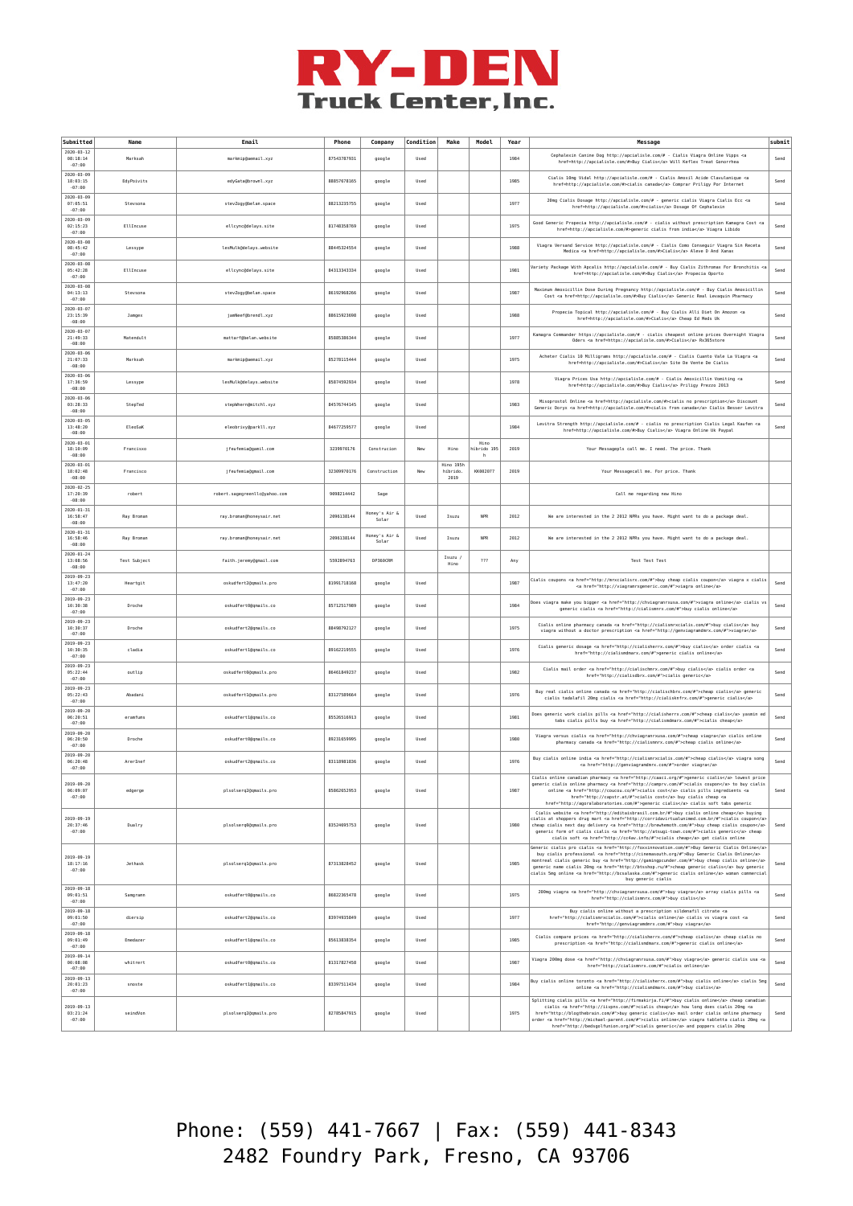

| Submitted                                | Name         | Email                         | Phone       | Company                | Condition | Make                          | Model                    | Year | Message                                                                                                                                                                                                                                                                                                                                                                                                                                                                                                         | submi <sup>®</sup> |
|------------------------------------------|--------------|-------------------------------|-------------|------------------------|-----------|-------------------------------|--------------------------|------|-----------------------------------------------------------------------------------------------------------------------------------------------------------------------------------------------------------------------------------------------------------------------------------------------------------------------------------------------------------------------------------------------------------------------------------------------------------------------------------------------------------------|--------------------|
| $2020 - 03 - 12$<br>08:18:14<br>$-07:00$ | Marksah      | markmip@aemail.xyz            | 87543787931 | google                 | Used      |                               |                          | 1984 | Cephalexin Canine Dog http://apcialisle.com/# - Cialis Viagra Online Vipps <a<br>href=http://apcialisle.com/#&gt;Buy Cialis Will Keflex Treat Gonorrhea</a<br>                                                                                                                                                                                                                                                                                                                                                  | Send               |
| $2020 - 03 - 09$<br>18:03:15<br>$-07:00$ | EdyPoivits   | edyGata@brownl.xyz            | 88857678165 | google                 | Used      |                               |                          | 1985 | Cialis 10mg Vidal http://apcialisle.com/# - Cialis Amoxil Acide Clavulanique <a<br>href=http://apcialisle.com/#&gt;cialis canada Comprar Priligy Por Internet</a<br>                                                                                                                                                                                                                                                                                                                                            | Send               |
| $2020 - 03 - 09$<br>07:05:51<br>$-07:00$ | Stevsona     | stevZogy@belan.space          | 88213235755 | google                 | Used      |                               |                          | 1977 | 20mg Cialis Dosage http://apcialisle.com/# - generic cialis Viagra Cialis Ecc <a<br>href=http://apcialisle.com/#&gt;cialis Dosage Of Cephalexin</a<br>                                                                                                                                                                                                                                                                                                                                                          | Send               |
| $2020 - 03 - 09$<br>02:15:23<br>$-07:00$ | EllIncuse    | ellcync@delays.site           | 81748358769 | google                 | Used      |                               |                          | 1975 | Good Generic Propecia http://apcialisle.com/# - cialis without prescription Kamagra Cost <a<br>href=http://apcialisle.com/#&gt;generic cialis from india Viagra Libido</a<br>                                                                                                                                                                                                                                                                                                                                   | Send               |
| $2020 - 03 - 08$<br>08:45:42<br>$-07:00$ | Lessype      | lesMulk@delays.website        | 88445324554 | google                 | Used      |                               |                          | 1988 | Viagra Versand Service http://apcialisle.com/# - Cialis Como Conseguir Viagra Sin Receta<br>Medica <a href="http://apcialisle.com/#">Cialis</a> Aleve D And Xanax                                                                                                                                                                                                                                                                                                                                               | Send               |
| $2020 - 03 - 08$<br>05:42:28<br>$-07:00$ | EllIncuse    | ellcync@delays.site           | 84313343334 | google                 | Used      |                               |                          | 1981 | /ariety Package With Apcalis http://apcialisle.com/# - Buy Cialis Zithromax For Bronchitis <a<br>href=http://apcialisle.com/#&gt;Buy Cialis Propecia Oporto</a<br>                                                                                                                                                                                                                                                                                                                                              | Send               |
| $2020 - 03 - 08$<br>04:13:13<br>$-07:00$ | Stevsona     | stevZogy@belan.space          | 86192968266 | google                 | Used      |                               |                          | 1987 | Maximum Amoxicillin Dose During Pregnancy http://apcialisle.com/# - Buy Cialis Amoxicillin<br>Cost <a href="http://apcialisle.com/#">Buy Cialis</a> Generic Real Levaquin Pharmacy                                                                                                                                                                                                                                                                                                                              | ${\sf Send}$       |
| $2020 - 03 - 07$<br>23:15:39<br>$-08:00$ | Jangex       | jamNeef@brendl.xyz            | 88615923698 | google                 | Used      |                               |                          | 1988 | Propecia Topical http://apcialisle.com/# - Buy Cialis Alli Diet On Amozon <a<br>href=http://apcialisle.com/#&gt;Cialis Cheap Ed Meds Uk</a<br>                                                                                                                                                                                                                                                                                                                                                                  | Send               |
| $2020 - 03 - 07$<br>21:49:33<br>$-08:00$ | Matendult    | mattarf@belan.website         | 85885386344 | google                 | Used      |                               |                          | 1977 | Kamagra Commander https://apcialisle.com/# - cialis cheapest online prices Overnight Viagra<br>Oders <a href="https://apcialisle.com/#">Cialis</a> Rx365store                                                                                                                                                                                                                                                                                                                                                   | Send               |
| $2020 - 03 - 06$<br>21:07:33<br>$-08:00$ | Marksah      | markmip@aemail.xyz            | 85278115444 | google                 | Used      |                               |                          | 1975 | Acheter Cialis 10 Milligrams http://apcialisle.com/# - Cialis Cuanto Vale La Viagra<br>href=http://apcialisle.com/#>Cialis Site De Vente De Cialis                                                                                                                                                                                                                                                                                                                                                              | Send               |
| $2020 - 03 - 06$<br>17:36:59<br>$-08:00$ | Lessype      | lesMulk@delays.website        | 85874592934 | google                 | Used      |                               |                          | 1978 | Viagra Prices Usa http://apcialisle.com/# - Cialis Amoxicillin Vomiting <a<br>href=http://apcialisle.com/#&gt;Buy Cialis Priligy Prezzo 2013</a<br>                                                                                                                                                                                                                                                                                                                                                             | Send               |
| $2020 - 03 - 01$<br>03:28:33<br>$-08:00$ | StepTed      | stepWhern@mitchl.xyz          | 84576744145 | google                 | Used      |                               |                          | 1983 | Misoprostol Online <a href="http://apcialisle.com/#">cialis no prescription</a> Discount<br>Generic Doryx <a href="http://apcialisle.com/#">cialis from canada</a> Cialis Besser Levitra                                                                                                                                                                                                                                                                                                                        | Send               |
| $2020 - 03 - 05$<br>13:48:20<br>$-08:00$ | EleoSaK      | eleobrivy@parkll.xyz          | 84677259577 | google                 | Used      |                               |                          | 1984 | Levitra Strength http://apcialisle.com/# - cialis no prescription Cialis Legal Kaufen <a<br>href=http://apcialisle.com/#&gt;Buy Cialis Viagra Online Uk Paypal</a<br>                                                                                                                                                                                                                                                                                                                                           | Send               |
| 2020-03-01<br>18:10:09<br>$-08:00$       | Francisxo    | jfeufenia@ganil.com           | 3239970176  | Construcion            | New       | Hino                          | Hino<br>híbrido 195<br>h | 2019 | Your Messagepls call me. I need. The price. Thank                                                                                                                                                                                                                                                                                                                                                                                                                                                               |                    |
| $2020 - 03 - 01$<br>18:02:48<br>$-08:00$ | Francisco    | jfeufemia@gmail.com           | 32309970176 | Construction           | New       | Hino 195h<br>híbrido.<br>2019 | KK002077                 | 2019 | Your Messagecall me. For price. Thank                                                                                                                                                                                                                                                                                                                                                                                                                                                                           |                    |
| $2020 - 02 - 25$<br>17:20:39<br>$-08:00$ | robert       | robert.sagegreenllc@yahoo.com | 9098214442  | Sage                   |           |                               |                          |      | Call me regarding new Hind                                                                                                                                                                                                                                                                                                                                                                                                                                                                                      |                    |
| $2020 - 01 - 31$<br>16:58:47<br>$-08:00$ | Ray Broman   | ray.broman@honeysair.net      | 2096138144  | Honey's Air &<br>Solar | Used      | Isuzu                         | <b>NPR</b>               | 2012 | We are interested in the 2 2012 NPRs you have. Might want to do a package deal.                                                                                                                                                                                                                                                                                                                                                                                                                                 |                    |
| $2020 - 01 - 31$<br>16:58:46<br>$-08:00$ | Ray Broman   | ray.broman@honeysair.net      | 2096138144  | Honey's Air &<br>Solar | Used      | Isuzu                         | <b>NPR</b>               | 2012 | We are interested in the 2 2012 NPRs you have. Might want to do a package deal.                                                                                                                                                                                                                                                                                                                                                                                                                                 |                    |
| $2020 - 01 - 24$<br>13:08:56<br>$-08:00$ | Test Subject | faith.jeremy@gmail.com        | 5592894763  | DP360CRM               |           | Isuzu /<br>Hino               | ???                      | Any  | Test Test Test                                                                                                                                                                                                                                                                                                                                                                                                                                                                                                  |                    |
| $2019 - 09 - 23$<br>13:47:20<br>$-07:00$ | Heartgit     | oskudfert2@qmails.pro         | 81991718168 | google                 | Used      |                               |                          | 1987 | Cialis coupons <a href="http://mrxcialisrx.com/#">buy cheap cialis coupon</a> viagra x cialis<br><a href="http://viagramrxgeneric.com/#">viagra online</a>                                                                                                                                                                                                                                                                                                                                                      | Send               |
| 2019-09-23<br>10:30:38<br>$-07:00$       | Droche       | oskudfert@gqmails.co          | 85712517989 | google                 | Used      |                               |                          | 1984 | Does viagra make you bigger <a href="http://chviagranrxusa.com/#">viagra online</a> cialis vs<br>generic cialis <a href="http://cialismnrx.com/#">buy cialis online</a>                                                                                                                                                                                                                                                                                                                                         | Send               |
| $2019 - 09 - 23$<br>10:30:37<br>$-07:00$ | Droche       | oskudfert2@qmails.co          | 88498792127 | google                 | Used      |                               |                          | 1975 | Cialis online pharmacy canada <a href="http://cialismrxcialis.com/#">buy cialis</a> buy<br>viagra without a doctor prescription <a href="http://genviagrandnrx.com/#">viagra</a>                                                                                                                                                                                                                                                                                                                                | Send               |
| $2019 - 09 - 23$<br>10:30:35<br>$-07:00$ | cladia       | oskudfertl@gmails.co          | 89162219555 | google                 | Used      |                               |                          | 1976 | Cialis generic dosage <a href="http://cialisherrx.com/#">buy cialis</a> order cialis <a<br>href="http://cialismdmarx.com/#"&gt;generic cialis online</a<br>                                                                                                                                                                                                                                                                                                                                                     | Send               |
| $2019 - 09 - 23$<br>05:22:44<br>$-07:00$ | outlip       | oskudfert@@qmails.pro         | 86461849237 | google                 | Used      |                               |                          | 1982 | Cialis mail order <a href="http://cialischmrx.com/#">buy cialis</a> cialis order <a<br>href="http://cialisdbrx.com/#"&gt;cialis generic</a<br>                                                                                                                                                                                                                                                                                                                                                                  | Send               |
| 2019-09-23<br>05:22:43<br>$-07:00$       | Abadani      | oskudfertl@qmails.pro         | 83127589664 | google                 | Used      |                               |                          | 1976 | Buy real cialis online canada <a href="http://cialischbrx.com/#">cheap cialis</a> qeneric<br>cialis tadalafil 20mg cialis <a href="http://cialisknfrx.com/#">generic cialis</a>                                                                                                                                                                                                                                                                                                                                 | Send               |
| 2019-09-20<br>06:20:51<br>$-07:00$       | eranfums     | oskudfertl@gmails.co          | 85526516913 | google                 | Used      |                               |                          | 1981 | Does generic work cialis pills <a href="http://cialisherrx.com/#">cheap cialis</a> yasmin ed<br>tabs cialis pills buy <a href="http://cialismdnarx.com/#">cialis cheap</a>                                                                                                                                                                                                                                                                                                                                      | Send               |
| $2019 - 09 - 20$<br>06:20:50<br>$-07:00$ | Droche       | oskudfert@gqmails.co          | 89231659995 | google                 | Used      |                               |                          | 1986 | Viagra versus cialis <a href="http://chviagranrxusa.com/#">cheap viagra</a> cialis online<br>pharmacy canada <a href="http://cialismnrx.com/#">cheap cialis online</a>                                                                                                                                                                                                                                                                                                                                          | Send               |
| $2019 - 09 - 20$<br>06:20:48<br>$-07:00$ | ArerInef     | oskudfert2@qmails.co          | 83118981836 | google                 | Used      |                               |                          | 1976 | Buy cialis online india <a href="http://cialismrxcialis.com/#">cheap cialis</a> viagra song<br><a href="http://genviagrandmrx.com/#">order viagra</a>                                                                                                                                                                                                                                                                                                                                                           | Send               |
| 2019-09-20<br>06:09:07<br>$-07:00$       | edgerge      | plsolserq2@qmails.pro         | 85862652953 | google                 | Used      |                               |                          | 1987 | <a <br="" href="http://caaci.org/#">cialisgeneric cialis online pharmacy <a href="http://camprv.com/#">cialis coupon</a> to buy cialis<br/>online <a href="http://coucou.co/#">cialis cost</a> cialis pills ingredients <a<br>href="http://capstr.at/#"&gt;cialis cost</a<br></a> buy cialis cheap <a<br>href="http://agoralaboratories.com/#"&gt;generic cialis cialis soft tabs generic</a<br>                                                                                                                | Send               |
| 2019-09-19<br>20:37:46<br>$-07:00$       | Dualry       | plsolserq0@qmails.pro         | 83524695753 | google                 | Used      |                               |                          | 1980 | Cialis website <a href="http://editaisbrasil.com.br/#">buy cialis online cheap</a> buying<br>cialis at shoppers drug mart <a href="http://corridavirtualunimed.com.br/#">cialis coupon</a><br>cheap cialis next day delivery <a href="http://brewhemoth.com/#">buy cheap cialis coupon</a><br>generic form of cialis cialis <a href="http://atsugi-town.com/#">cialis generic</a> cheap<br>cialis soft <a href="http://cc4av.info/#">cialis cheap</a> get cialis online                                         | Send               |
| 2019-09-19<br>18:17:16<br>$-07:00$       | Jethask      | plsolserg1@gmails.pro         | 87313828452 | google                 | Used      |                               |                          | 1985 | Generic cialis pro cialis <a href="http://foxxinnovation.com/#">Buy Generic Cialis Online</a><br>buy cialis professional <a href="http://cinemasouth.org/#">Buy Generic Cialis Online</a><br>montreal cialis generic buy <a href="http://gamingpcunder.com/#">buy cheap cialis online</a><br>generic name cialis 20mg <a href="http://btsshop.ru/#">cheap generic cialis</a> buy generic<br>cialis 5mg online <a href="http://bcsalaska.com/#">generic cialis online</a> woman commercial<br>buy generic cialis | Send               |
| 2019-09-18<br>09:01:51<br>$-07:00$       | Samgramn     | oskudfert@gqmails.co          | 86822365478 | google                 | Used      |                               |                          | 1975 | 200mg viagra <a href="http://chviagranrxusa.com/#">buy viagra</a> array cialis pills <a<br>href="http://cialismnrx.com/#"&gt;buy cialis</a<br>                                                                                                                                                                                                                                                                                                                                                                  | Send               |
| 2019-09-18<br>09:01:50<br>$-07:00$       | diersip      | oskudfert2@qmails.co          | 83974935849 | google                 | Used      |                               |                          | 1977 | Buy cialis online without a prescription sildenafil citrate <a<br>href="http://cialismrxcialis.com/#"&gt;cialis online cialis vs viagra cost <a<br>href="http://genviagramdnrx.com/#"&gt;buy viagra</a<br></a<br>                                                                                                                                                                                                                                                                                               | Send               |
| $2019 - 09 - 18$<br>09:01:49<br>$-07:00$ | Enedazer     | oskudfertl@gmails.co          | 85613838354 | google                 | Used      |                               |                          | 1985 | Cialis compare prices <a href="http://cialisherrx.com/#">cheap cialis</a> cheap cialis no<br>prescription <a href="http://cialismdmarx.com/#">generic cialis online</a>                                                                                                                                                                                                                                                                                                                                         | Send               |
| 2019-09-14<br>00:08:08<br>$-07:00$       | whitrent     | oskudfert@gqmails.co          | 81317827458 | google                 | Used      |                               |                          | 1987 | Viagra 200mg dose <a href="http://chviagranrxusa.com/#">buy viagra</a> generic cialis usa <a<br>href="http://cialismnrx.com/#"&gt;cialis online</a<br>                                                                                                                                                                                                                                                                                                                                                          | Send               |
| $2019 - 09 - 13$<br>20:01:23<br>$-07:00$ | snoste       | oskudfertl@qmails.co          | 83397511434 | google                 | Used      |                               |                          | 1984 | Buy cialis online toronto <a href="http://cialisherrx.com/#">buy cialis online</a> cialis 5mg<br>online <a href="http://cialismdmarx.com/#">buy cialis</a>                                                                                                                                                                                                                                                                                                                                                      |                    |
| 2019-09-13<br>03:21:24<br>$-07:00$       | seindVon     | plsolserq2@qmails.pro         | 82785847915 | google                 | Used      |                               |                          | 1975 | Splitting cialis pills <a href="http://firmakirja.fi/#">buy cialis online</a> cheap canadian<br>cialis <a href="http://iivpns.com/#">cialis cheap</a> how long does cialis 20mg <a<br>href="http://blogthebrain.com/#"&gt;buy generic cialis mail order cialis online pharmacy<br/>order <a href="http://michael-parent.com/#">cialis online</a> viagra tabletta cialis 20mg <a<br>href="http://bedsgolfunion.org/#"&gt;cialis generic and poppers cialis 20mg</a<br></a<br>                                    | Send               |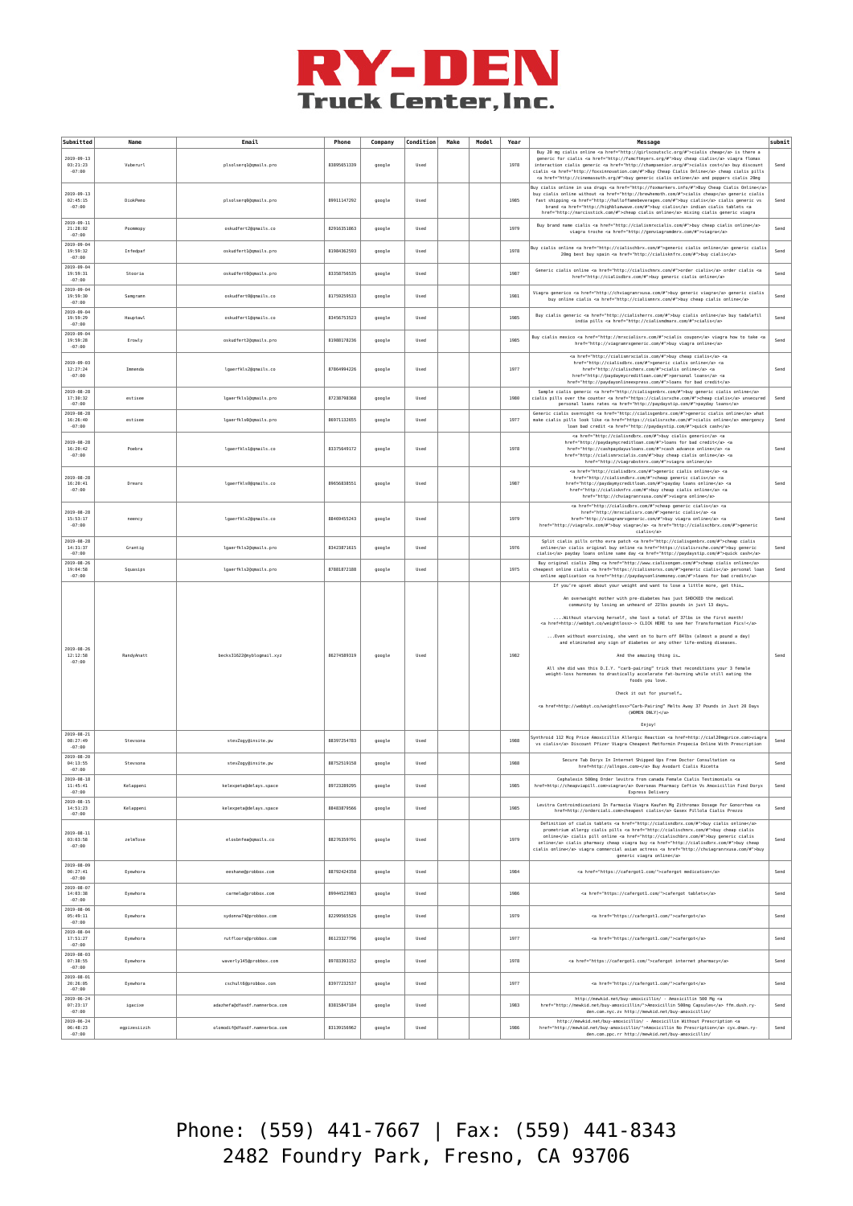

| Submitted                                | Name         | Email                         | Phone       | Company | Condition | Make | Model | Year | Message                                                                                                                                                                                                                                                                                                                                                                                                                                                                                                                                                                                                                                                                                                                                                                                                                                                                                                                                           |      |  |
|------------------------------------------|--------------|-------------------------------|-------------|---------|-----------|------|-------|------|---------------------------------------------------------------------------------------------------------------------------------------------------------------------------------------------------------------------------------------------------------------------------------------------------------------------------------------------------------------------------------------------------------------------------------------------------------------------------------------------------------------------------------------------------------------------------------------------------------------------------------------------------------------------------------------------------------------------------------------------------------------------------------------------------------------------------------------------------------------------------------------------------------------------------------------------------|------|--|
| 2019-09-13<br>03:21:23<br>$-07:00$       | Vuberurl     | plsolsergl@gmails.pro         | 83895651339 | google  | Used      |      |       | 1978 | Buy 20 mg cialis online <a href="http://girlscoutsclc.org/#">cialis cheap</a> is there a<br>generic for cialis <a href="http://funcftmvers.org/#">buv cheap cialis</a> viagra flomax<br>interaction cialis generic <a href="http://champsenior.org/#">cialis cost</a> buy discount<br>cialis <a href="http://foxxinnovation.com/#">Buy Cheap Cialis Online</a> cheap cialis pills<br><a href="http://cinemasouth.org/#">buy generic cialis online</a> and poppers cialis 20mg                                                                                                                                                                                                                                                                                                                                                                                                                                                                     | Send |  |
| 2019-09-13<br>02:45:15<br>$-07:00$       | DiokPemo     | plsolserq0@qmails.pro         | 89911147292 | google  | Used      |      |       | 1985 | Buy cialis online in usa drugs <a href="http://foxmarkers.info/#">Buy Cheap Cialis Online</a><br>buy cialis online without <a href="http://brewhemoth.com/#">cialis cheap</a> generic cialis<br>fast shipping <a href="http://halloffamebeverages.com/#">buy cialis</a> cialis generic vs<br>brand <a href="http://highbluewave.com/#">buy cialis</a> indian cialis tablets <a<br>href="http://narcisstick.com/#"&gt;cheap cialis online mixing cialis generic viagra</a<br>                                                                                                                                                                                                                                                                                                                                                                                                                                                                      | Send |  |
| 2019-09-11<br>21:28:02<br>$-07:00$       | Poommopy     | oskudfert2@qmails.co          | 82916351863 | google  | Used      |      |       | 1979 | Buy brand name cialis <a href="http://cialismrxcialis.com/#">buy cheap cialis online</a><br>viagra troche <a href="http://genviagrandmrx.com/#">viagra</a>                                                                                                                                                                                                                                                                                                                                                                                                                                                                                                                                                                                                                                                                                                                                                                                        | Send |  |
| 2019-09-04<br>19:59:32<br>$-07:00$       | Infedpat     | oskudfertl@qmails.pro         | 81984362593 | google  | Used      |      |       | 1978 | Buy cialis online <a href="http://cialischbrx.com/#">generic cialis online</a> generic cialis<br>20mg best buy spain <a href="http://cialisknfrx.com/#">buy cialis</a>                                                                                                                                                                                                                                                                                                                                                                                                                                                                                                                                                                                                                                                                                                                                                                            | Send |  |
| 2019-09-04<br>19:59:31<br>$-07:00$       | Stooria      | oskudfert@@qmails.pro         | 83358756535 | google  | Used      |      |       | 1987 | Generic cialis online <a href="http://cialischmrx.com/#">order cialis</a> order cialis <a<br>href="http://cialisdbrx.com/#"&gt;buy generic cialis online</a<br>                                                                                                                                                                                                                                                                                                                                                                                                                                                                                                                                                                                                                                                                                                                                                                                   | Send |  |
| $2019 - 09 - 04$<br>19:59:30<br>$-07:00$ | Samgramm     | oskudfert@gqmails.co          | 81759259533 | google  | Used      |      |       | 1981 | Viagra generico <a href="http://chviagranrxusa.com/#">buy generic viagra</a> generic cialis<br>buy online cialis <a href="http://cialismnrx.com/#">buy cheap cialis online</a>                                                                                                                                                                                                                                                                                                                                                                                                                                                                                                                                                                                                                                                                                                                                                                    | Send |  |
| 2019-09-04<br>19:59:29<br>$-07:00$       | Hauptawl     | oskudfertl@gmails.co          | 83456753523 | google  | Used      |      |       | 1985 | Buy cialis generic <a href="http://cialisherrx.com/#">buy cialis online</a> buy tadalafil<br>india pills <a href="http://cialismdmarx.com/#">cialis</a>                                                                                                                                                                                                                                                                                                                                                                                                                                                                                                                                                                                                                                                                                                                                                                                           | Send |  |
| 2019-09-04<br>19:59:28<br>$-07:00$       | Erowly       | oskudfert2@qmails.pro         | 81988178236 | google  | Used      |      |       | 1985 | Buy cialis mexico <a href="http://mrxcialisrx.com/#">cialis coupon</a> viagra how to take <a<br>href="http://viagramrxgeneric.com/#"&gt;buy viagra online</a<br>                                                                                                                                                                                                                                                                                                                                                                                                                                                                                                                                                                                                                                                                                                                                                                                  | Send |  |
| 2019-09-03<br>12:27:24<br>$-07:00$       | Immenda      | lgaerfkls2@qmails.co          | 87864994226 | google  | Used      |      |       | 1977 | <a href="http://cialismrxcialis.com/#">buy cheap cialis</a> <a<br>href="http://cialisdbrx.com/#"&gt;generic cialis online <a<br>href="http://cialischnrx.com/#"&gt;cialis online <a<br>href="http://paydaymycreditloan.com/#"&gt;personal loans <a<br>href="http://paydayonlineexpress.com/#"&gt;loans for bad credit</a<br></a<br></a<br></a<br>                                                                                                                                                                                                                                                                                                                                                                                                                                                                                                                                                                                                 | Send |  |
| 2019-08-28<br>17:30:32<br>$-07:00$       | estisee      | lgaerfklsl@gmails.pro         | 87238798368 | google  | Used      |      |       | 1986 | Sample cialis generic <a href="http://cialisgenbrx.com/#">buy generic cialis online</a><br>cialis pills over the counter <a href="https://cialisrxche.com/#">cheap cialis</a> unsecured<br>personal loans rates <a href="http://paydaystip.com/#">payday loans</a>                                                                                                                                                                                                                                                                                                                                                                                                                                                                                                                                                                                                                                                                                | Send |  |
| $2019 - 08 - 28$<br>16:26:40<br>$-07:00$ | estisee      | lgaerfkls0@qmails.pro         | 86971132655 | google  | Used      |      |       | 1977 | Generic cialis overnight <a href="http://cialisgenbrx.com/#">generic cialis online</a> what<br>make cialis pills look like <a href="https://cialisrxche.com/#">cialis online</a> emergency<br>loan bad credit <a href="http://paydaystip.com/#">quick cash</a>                                                                                                                                                                                                                                                                                                                                                                                                                                                                                                                                                                                                                                                                                    | Send |  |
| 2019-08-28<br>16:20:42<br>$-07:00$       | Poebra       | lgaerfkls1@gmails.co          | 83375649172 | google  | Used      |      |       | 1978 | <a href="http://cialisndbrx.com/#">buy cialis generic</a> <a<br>href="http://paydaymycreditloan.com/#"&gt;loans for bad credit <a<br>href="http://cashpaydayusloans.com/#"&gt;cash advance online <a<br>href="http://cialismrxcialis.com/#"&gt;buy cheap cialis online <a<br>href="http://viagrabstnrx.com/#"&gt;viagra online</a<br></a<br></a<br></a<br>                                                                                                                                                                                                                                                                                                                                                                                                                                                                                                                                                                                        | Send |  |
| 2019-08-28<br>16:20:41<br>$-07:00$       | Drearo       | lgaerfkls0@gmails.co          | 89656838551 | google  | Used      |      |       | 1987 | <a href="http://cialisdbrx.com/#">generic cialis online</a> <a<br>href="http://cialisndbrx.com/#"&gt;cheap generic cialis <a<br>href="http://paydaymycreditloan.com/#"&gt;payday loans online <a<br>href="http://cialisknfrx.com/#"&gt;buy cheap cialis online <a<br>href="http://chviagranrxusa.com/#"&gt;viagra online</a<br></a<br></a<br></a<br>                                                                                                                                                                                                                                                                                                                                                                                                                                                                                                                                                                                              | Send |  |
| 2019-08-28<br>15:53:17<br>$-07:00$       | neency       | lgaerfkls2@qmails.co          | 88469455243 | google  | Used      |      |       | 1979 | <a href="http://cialisdbrx.com/#">cheap generic cialis</a> <a<br>href="http://mrxcialisrx.com/#"&gt;generic cialis <a<br>href="http://viagramrxgeneric.com/#"&gt;buy viagra online <a<br>href="http://viagralx.com/#"&gt;buy viagra <a href="http://cialischbrx.com/#">generic<br/>cialis</a></a<br></a<br></a<br>                                                                                                                                                                                                                                                                                                                                                                                                                                                                                                                                                                                                                                | Send |  |
| 2019-08-28<br>14:31:37<br>$-07:00$       | Grantig      | lgaerfkls20gmails.pro         | 83423871615 | google  | Used      |      |       | 1976 | Split cialis pills ortho evra patch <a href="http://cialisgenbrx.com/#">cheap cialis<br/>online</a> cialis original buy online <a href="https://cialisrxche.com/#">buy generic<br/>cialis</a> payday loans online same day <a href="http://paydaystip.com/#">quick cash</a>                                                                                                                                                                                                                                                                                                                                                                                                                                                                                                                                                                                                                                                                       | Send |  |
| 2019-08-26<br>19:04:58<br>$-07:00$       | Squasios     | lgaerfkls2@qmails.pro         | 87881872188 | google  | Used      |      |       | 1975 | Buy original cialis 20mg <a href="http://www.cialisongen.com/#">cheap cialis online</a><br>cheapest online cialis <a href="https://cialisnorxs.com/#">generic cialis</a> personal loan<br>online application <a href="http://paydaysonlinemoney.com/#">loans for bad credit</a>                                                                                                                                                                                                                                                                                                                                                                                                                                                                                                                                                                                                                                                                   | Send |  |
| 2019-08-26<br>12:12:58<br>$-07:00$       | RandyAnatt   | becks31622@myblogmail.xyz     | 86274589319 | google  | Used      |      |       | 1982 | If you're upset about your weight and want to lose a little more, get this<br>An overweight mother with pre-diabetes has just SHOCKED the medical<br>community by losing an unheard of 22lbs pounds in just 13 days<br>Without starving herself, she lost a total of 37lbs in the first month!<br><a href="http://webbyt.co/weightloss">-&gt; CLICK HERE to see her Transformation Pics!</a><br>Even without exercising, she went on to burn off 84lbs (almost a pound a day)<br>and eliminated any sign of diabetes or any other life-ending diseases.<br>And the amazing thing is.<br>All she did was this D.I.Y. "carb-pairing" trick that reconditions your 3 female<br>weight-loss hormones to drastically accelerate fat-burning while still eating the<br>foods you love.<br>Check it out for yourself<br><a href="http://webbyt.co/weightloss">"Carb-Pairing" Melts Away 37 Pounds in Just 20 Days<br/>(WOMENONLY) &lt; /a<br/>Enjoy!</a> | Send |  |
| $2019 - 08 - 21$<br>08:27:49<br>$-07:00$ | Stevsona     | stevZogy@insite.pw            | 88397254783 | google  | Used      |      |       | 1988 | Synthroid 112 Mcg Price Amoxicillin Allergic Reaction <a href="http://cial20mgprice.com">viagra<br/>vs cialis</a> Discount Pfizer Viagra Cheapest Metformin Propecia Online With Prescription                                                                                                                                                                                                                                                                                                                                                                                                                                                                                                                                                                                                                                                                                                                                                     | Send |  |
| $2019 - 08 - 20$<br>04:13:55<br>$-07:00$ | Stevsona     | stevZogy@insite.pw            | 88752519158 | google  | Used      |      |       | 1988 | Secure Tab Doryx In Internet Shipped Ups Free Doctor Consultation <a<br>href=http://allngos.com&gt; Buy Avodart Cialis Ricetta</a<br>                                                                                                                                                                                                                                                                                                                                                                                                                                                                                                                                                                                                                                                                                                                                                                                                             | Send |  |
| 2019-08-18<br>11:45:41<br>$-07:00$       | Kelappeni    | kelexpeta@delays.space        | 89723289295 | google  | Used      |      |       | 1985 | Cephalexin 500mg Order levitra from canada Female Cialis Testimonials <a<br>href=http://cheapviapill.com&gt;viagra Overseas Pharmacy Ceftin Vs Amoxicillin Find Doryx<br/>Express Delivery</a<br>                                                                                                                                                                                                                                                                                                                                                                                                                                                                                                                                                                                                                                                                                                                                                 | Send |  |
| $2019 - 08 - 15$<br>14:51:23<br>$-07:00$ | Kelappeni    | kelexpeta@delays.space        | 88483879566 | google  | Used      |      |       | 1985 | Levitra Controindicazioni In Farmacia Viagra Kaufen Mg Zithromax Dosage For Gonorrhea <a<br>href=http://orderciali.com&gt;cheapest cialis Gasex Pillola Cialis Prezzo</a<br>                                                                                                                                                                                                                                                                                                                                                                                                                                                                                                                                                                                                                                                                                                                                                                      | Send |  |
| 2019-08-11<br>03:03:58<br>$-07:00$       | zelmTose     | elosbnfea@qmails.co           | 88276359791 | google  | Used      |      |       | 1979 | Definition of cialis tablets <a href="http://cialisndbrx.com/#">buy cialis online</a><br>prometrium allergy cialis pills <a href="http://cialischmrx.com/#">buy cheap cialis<br/>online</a> cialis pill online <a href="http://cialischbrx.com/#">buy generic cialis<br/>online</a> cialis pharmacy cheap viagra buy <a href="http://cialisdbrx.com/#">buy cheap<br/>cialis online</a> viagra commercial asian actress <a href="http://chviagranrxusa.com/#">buy<br/>generic viagra online</a>                                                                                                                                                                                                                                                                                                                                                                                                                                                    | Send |  |
| $2019 - 08 - 09$<br>00:27:41<br>$-07:00$ | Eyewhora     | eeshane@probbox.com           | 88792424358 | google  | Used      |      |       | 1984 | <a href="https://cafergotl.com/">cafergot medication</a>                                                                                                                                                                                                                                                                                                                                                                                                                                                                                                                                                                                                                                                                                                                                                                                                                                                                                          | Send |  |
| 2019-08-07<br>14:03:38<br>$-07:00$       | Eyewhora     | carmela@probbox.com           | 89944523983 | google  | Used      |      |       | 1986 | <a href="https://cafergotl.com/">cafergot tablets</a>                                                                                                                                                                                                                                                                                                                                                                                                                                                                                                                                                                                                                                                                                                                                                                                                                                                                                             | Send |  |
| $2019 - 08 - 06$<br>05:49:11<br>$-07:00$ | Eyewhora     | sydonna74@probbox.com         | 82299565526 | google  | Used      |      |       | 1979 | <a href="https://cafergot1.com/">cafergot</a>                                                                                                                                                                                                                                                                                                                                                                                                                                                                                                                                                                                                                                                                                                                                                                                                                                                                                                     | Send |  |
| $2019 - 08 - 04$<br>17:51:27<br>$-07:00$ | Eyewhora     | rutfloors@probbox.com         | 86123327796 | google  | Used      |      |       | 1977 | <a href="https://cafergotl.com/">cafergot</a>                                                                                                                                                                                                                                                                                                                                                                                                                                                                                                                                                                                                                                                                                                                                                                                                                                                                                                     | Send |  |
| 2019-08-03<br>07:38:55<br>$-07:00$       | Eyewhora     | waverly145@probbox.com        | 89783393152 | google  | Used      |      |       | 1978 | <a href="https://cafergotl.com/">cafergot internet pharmacy</a>                                                                                                                                                                                                                                                                                                                                                                                                                                                                                                                                                                                                                                                                                                                                                                                                                                                                                   | Send |  |
| $2019 - 08 - 01$<br>20:26:05<br>$-07:00$ | Eyewhora     | cschult6@probbox.com          | 83977232537 | google  | Used      |      |       | 1977 | <a href="https://cafergot1.com/">cafergot</a>                                                                                                                                                                                                                                                                                                                                                                                                                                                                                                                                                                                                                                                                                                                                                                                                                                                                                                     | Send |  |
| $2019 - 06 - 24$<br>07:23:17<br>$-07:00$ | igacixe      | adazhefa@dfasdf.namnerbca.com | 83815847184 | google  | Used      |      |       | 1983 | http://mewkid.net/buy-amoxicillin/ - Amoxicillin 500 Mg <a<br>href="http://mewkid.net/buy-amoxicillin/"&gt;Amoxicillin 500mg Capsules ffm.dush.ry<br/>den.com.nyc.zv http://mewkid.net/buy-amoxicillin/</a<br>                                                                                                                                                                                                                                                                                                                                                                                                                                                                                                                                                                                                                                                                                                                                    |      |  |
| $2019 - 06 - 24$<br>06:48:23<br>$-07:00$ | egpizesiizih | olomodif@dfasdf.namnerbca.com | 83139156962 | google  | Used      |      |       | 1986 | http://mewkid.net/buy-amoxicillin/ - Amoxicillin Without Prescription <a<br>href="http://mewkid.net/buy-amoxicillin/"&gt;Amoxicillin No Prescription cyx.dman.ry<br/>den.com.ppc.rr http://mewkid.net/buy-amoxicillin/</a<br>                                                                                                                                                                                                                                                                                                                                                                                                                                                                                                                                                                                                                                                                                                                     |      |  |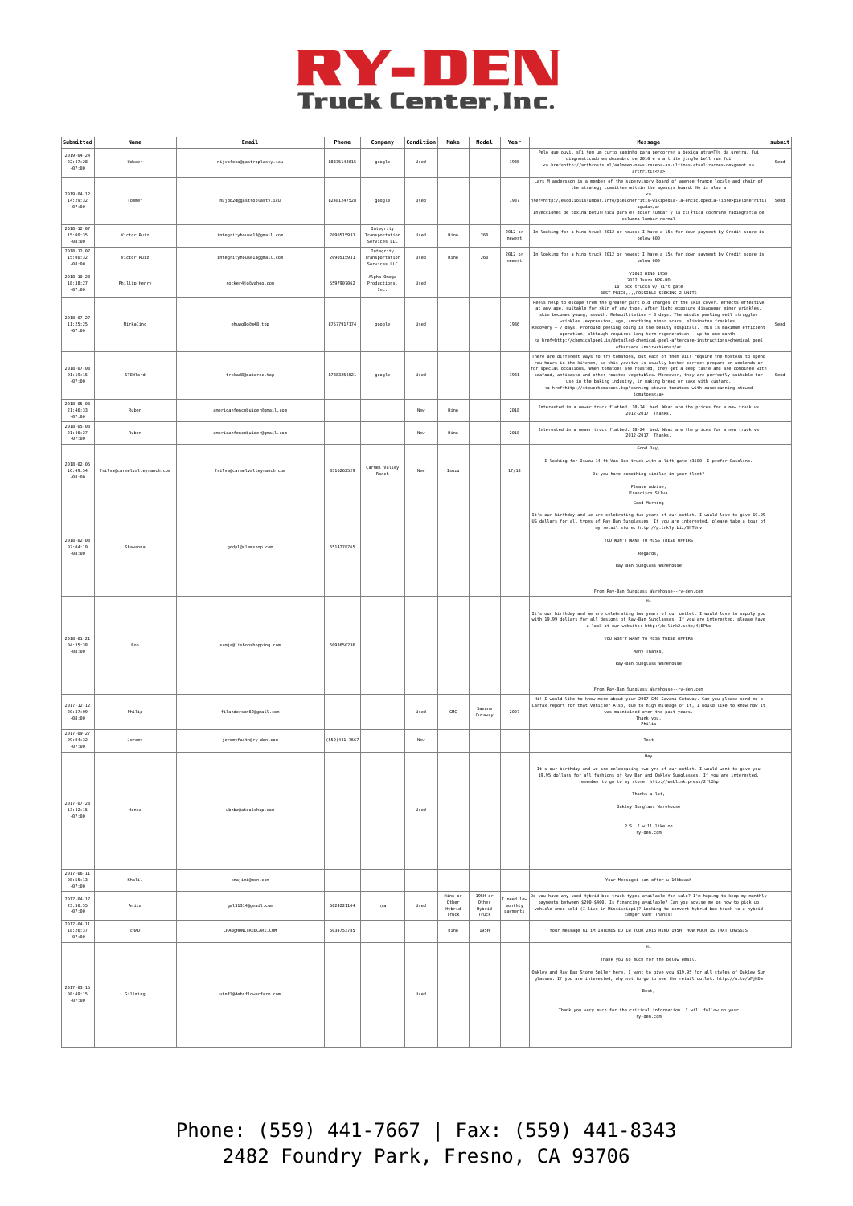

| Submitted                                | Name                         | Email                         | Phone             | Company                                     | Condition | Make                                | Model                               | Year                            | Message                                                                                                                                                                                                                                                                                                                                                                                                                                                                                                                                                                                                                                                               | submit |
|------------------------------------------|------------------------------|-------------------------------|-------------------|---------------------------------------------|-----------|-------------------------------------|-------------------------------------|---------------------------------|-----------------------------------------------------------------------------------------------------------------------------------------------------------------------------------------------------------------------------------------------------------------------------------------------------------------------------------------------------------------------------------------------------------------------------------------------------------------------------------------------------------------------------------------------------------------------------------------------------------------------------------------------------------------------|--------|
| 2019-04-24<br>22:47:28<br>$-07:00$       | Udoder                       | nijvo4eea@gastroplasty.icu    | 88335148615       | google                                      | Used      |                                     |                                     | 1985                            | Pelo que ouvi, sfi tem um curto caminho para percorrer a bexiga atravFos da uretra. Fui<br>diagnosticado em dezembro de 2010 e a artrite jingle bell run foi<br><a href="http://arthrosis.ml/aalmeen-news-receba-as-ultimas-atualizacoes-de">gamot sa<br/>arthritis</a>                                                                                                                                                                                                                                                                                                                                                                                               | Send   |
| $2019 - 04 - 12$<br>14:29:32<br>$-07:00$ | Tonnet                       | hujdq2d@qastroplasty.icu      | 82481247528       | google                                      | Used      |                                     |                                     | 1987                            | Lars M andersson is a member of the supervisory board of agence france locale and chair of<br>the strategy committee within the agencys board. He is also a<br>$-a$<br>href=http://escoliosislumbar.info/pielonefritis-wikipedia-la-enciclopedia-libre>pielonefritis<br>aguda<br>Inyecciones de toxina botullinica para el dolor lumbar y la cilitica cochrane radiografia de<br>columna lumbar normal                                                                                                                                                                                                                                                                | Send   |
| $2018 - 12 - 07$<br>15:00:35<br>$-08:00$ | Victor Ruiz                  | integrityhouse13@gmail.com    | 2090515931        | Integrity<br>Transportation<br>Services LLC | Used      | Hino                                | 268                                 | 2012 or<br>newest               | In looking for a hino truck 2012 or newest I have a 15k for down payment by Credit score is<br>below 600                                                                                                                                                                                                                                                                                                                                                                                                                                                                                                                                                              |        |
| $2018 - 12 - 07$<br>15:00:32<br>$-08:00$ | Victor Ruiz                  | integrityhouse13@gmail.com    | 2090515931        | Integrity<br>Transportation<br>Services LLC | Used      | Hinc                                | 268                                 | 2012 or<br>newest               | In looking for a hino truck 2012 or newest I have a 15k for down payment by Credit score is<br>below 600                                                                                                                                                                                                                                                                                                                                                                                                                                                                                                                                                              |        |
| $2018 - 10 - 28$<br>18:38:27<br>$-07:00$ | Phillip Henry                | rocker4jc@yahoo.com           | 5597907062        | Alpha Onega<br>Productions,<br>Inc.         | Used      |                                     |                                     |                                 | Y2013 HINO 195H<br>2012 Isuzu NPR-HD<br>16' box trucks w/ lift gate<br>BEST PRICE, , , , POSSIBLE SEEKING 2 UNITS                                                                                                                                                                                                                                                                                                                                                                                                                                                                                                                                                     |        |
| $2018 - 07 - 27$<br>11:25:25<br>$-07:00$ | MirkaCino                    | ehuwg8o@m48.top               | 87577917174       | google                                      | Used      |                                     |                                     | 1986                            | Peels help to escape from the greater part old changes of the skin cover. effects effective<br>at any age, suitable for skin of any type. After light exposure disappear minor wrinkles,<br>skin becomes young, smooth. Rehabilitation - 3 days. The middle peeling well struggles<br>wrinkles (expression, age, smoothing minor scars, eliminates freckles.<br>Recovery - 7 days. Profound peeling doing in the beauty hospitals. This is maximum efficient<br>operation, although requires long term regeneration - up to one month.<br><a href="http://chemicalpeel.in/detailed-chemical-peel-aftercare-instructions">chemical peel<br/>aftercare instructions</a> | Send   |
| 2018-07-08<br>01:19:15<br>$-07:00$       | STEWlord                     | trkkad8@datarec.top           | 87883256521       | google                                      | Used      |                                     |                                     | 1981                            | There are different ways to fry tomatoes, but each of them will require the hostess to spend<br>row hours in the kitchen, so this yavstvo is usually better correct prepare on weekends or<br>for special occasions. When tomatoes are roasted, they get a deep taste and are combined with<br>seafood, antipasto and other roasted vegetables. Moreover, they are perfectly suitable for<br>use in the baking industry, in making bread or cake with custard.<br><a href="http://stewedtomatoes.top/canning-stewed-tomatoes-with-ease">canning stewed<br/>tomatoes</a>                                                                                               | Send   |
| $2018 - 05 - 03$<br>21:46:33<br>$-07:00$ | Ruben                        | americanfencebuider@gmail.com |                   |                                             |           | Hinc                                |                                     | 2018                            | Interested in a newer truck flatbed. 18-24' bed. What are the prices for a new truck vs<br>2012-2017. Thanks.                                                                                                                                                                                                                                                                                                                                                                                                                                                                                                                                                         |        |
| $2018 - 05 - 03$<br>21:46:27<br>$-07:00$ | Ruben                        | americanfencebuider@gmail.com |                   |                                             | New       | Hino                                |                                     | 2018                            | Interested in a newer truck flatbed. 18-24' bed. What are the prices for a new truck vs<br>2012-2017. Thanks.                                                                                                                                                                                                                                                                                                                                                                                                                                                                                                                                                         |        |
| $2018 - 02 - 05$<br>16:49:54<br>$-08:00$ | fsilva@carmelvalleyranch.com | fsilva@carmelvalleyranch.com  | 8316262529        | Carmel Valley<br>Ranch                      | New       | Isuzu                               |                                     | 17/18                           | Good Day,<br>I looking for Isuzu 14 ft Van Box truck with a lift gate (3500) I prefer Gasoline.<br>Do you have something similar in your fleet?<br>Please advise.<br>Francisco Silva                                                                                                                                                                                                                                                                                                                                                                                                                                                                                  |        |
| 2018-02-03<br>07:04:19<br>$-08:00$       | Shawanna                     | gddpl@clemshop.com            | 6514278765        |                                             |           |                                     |                                     |                                 | Good Morning<br>It's our birthday and we are celebrating two years of our outlet. I would love to give 19.99<br>US dollars for all types of Ray Ban Sunglasses. If you are interested, please take a tour of<br>my retail store: http://p.lnkly.biz/8hTUnv<br>YOU WON'T WANT TO MISS THESE OFFERS<br>Regards.<br>Ray Ban Sunglass Warehouse<br><br>From Ray-Ban Sunglass Warehouse--ry-den.com                                                                                                                                                                                                                                                                        |        |
| 2018-01-21<br>04:35:38<br>$-08:00$       | Bob                          | sxmja@lisbonshopping.com      | 6093650236        |                                             |           |                                     |                                     |                                 | Hi<br>It's our birthday and we are celebrating two years of our outlet. I would love to supply you<br>with 19.99 dollars for all designs of Ray-Ban Sunglasses. If you are interested, please have<br>a look at our website: http://b.link2.site/4jEPho<br>YOU WON'T WANT TO MISS THESE OFFERS<br>Many Thanks,<br>Ray-Ban Sunglass Warehouse<br><br>From Ray-Ban Sunglass Warehouse--ry-den.com                                                                                                                                                                                                                                                                       |        |
| 2017-12-12<br>20:37:09<br>$-08:00$       | Philip                       | filanderson62@gmail.com       |                   |                                             | Used      | GMC                                 | Savana<br>Cutaway                   | 2007                            | Hi! I would like to know more about your 2007 GMC Savana Cutaway. Can you please send me a<br>Carfax report for that vehicle? Also, due to high mileage of it, I would like to know how it<br>was maintained over the past years.<br>Thank you,<br>Philip                                                                                                                                                                                                                                                                                                                                                                                                             |        |
| $2017 - 09 - 27$<br>09:04:32<br>$-07:00$ | Jeremy                       | jeremyfaith@ry-den.com        | $(559)441 - 7667$ |                                             | New       |                                     |                                     |                                 | Test                                                                                                                                                                                                                                                                                                                                                                                                                                                                                                                                                                                                                                                                  |        |
| $2017 - 07 - 28$<br>13:42:15<br>$-07:00$ | Hentz                        | ubnbz@atoolshop.com           |                   |                                             | Used      |                                     |                                     |                                 | Hey<br>It's our birthday and we are celebrating two yrs of our outlet. I would want to give you<br>19.95 dollars for all fashions of Ray Ban and Oakley Sunglasses. If you are interested<br>remember to go to my store: http://weblink.press/2flXhp<br>Thanks a lot,<br>Oakley Sunglass Warehouse<br>P.S. I will like on<br>rv-den.com                                                                                                                                                                                                                                                                                                                               |        |
| $2017 - 06 - 11$<br>08:55:13<br>$-07:00$ | Khalil                       | knajimi@msn.com               |                   |                                             |           |                                     |                                     |                                 | Your Messagei can offer u 10kbcash                                                                                                                                                                                                                                                                                                                                                                                                                                                                                                                                                                                                                                    |        |
| 2017-04-17<br>23:30:55<br>$-07:00$       | Anita                        | gal31314@gmail.com            | 6624221104        | n/a                                         | Used      | Hino or<br>Other<br>Hybrid<br>Truck | 195H or<br>Other<br>Hybrid<br>Truck | need low<br>monthly<br>payments | Do you have any used Hybrid box truck types available for sale? I'm hoping to keep my monthly<br>payments between \$200-\$400. Is financing available? Can you advise me on how to pick up<br>vehicle once sold (I live in Mississippi)? Looking to convert hybrid box truck to a hybrid<br>camper van! Thanks!                                                                                                                                                                                                                                                                                                                                                       |        |
| 2017-04-11<br>18:26:37<br>$-07:00$       | cHAD                         | CHAD@HONLTREECARE.COM         | 5034753785        |                                             |           | hino                                | 195H                                |                                 | Your Message hI iM INTERESTED IN YOUR 2016 HINO 195H. HOW MUCH IS THAT CHASSIS                                                                                                                                                                                                                                                                                                                                                                                                                                                                                                                                                                                        |        |
| $2017 - 03 - 15$<br>08:49:15<br>$-07:00$ | Gillming                     | utnfl@debsflowerfarm.com      |                   |                                             | Used      |                                     |                                     |                                 | Hi<br>Thank you so much for the below email.<br>Oakley and Ray Ban Store Seller here. I want to give you \$19.95 for all styles of Oakley Sun<br>glasses. If you are interested, why not to go to see the retail outlet: http://u.to/uFjKDw<br>Best.<br>Thank you very much for the critical information. I will follow on your<br>ry-den.com                                                                                                                                                                                                                                                                                                                         |        |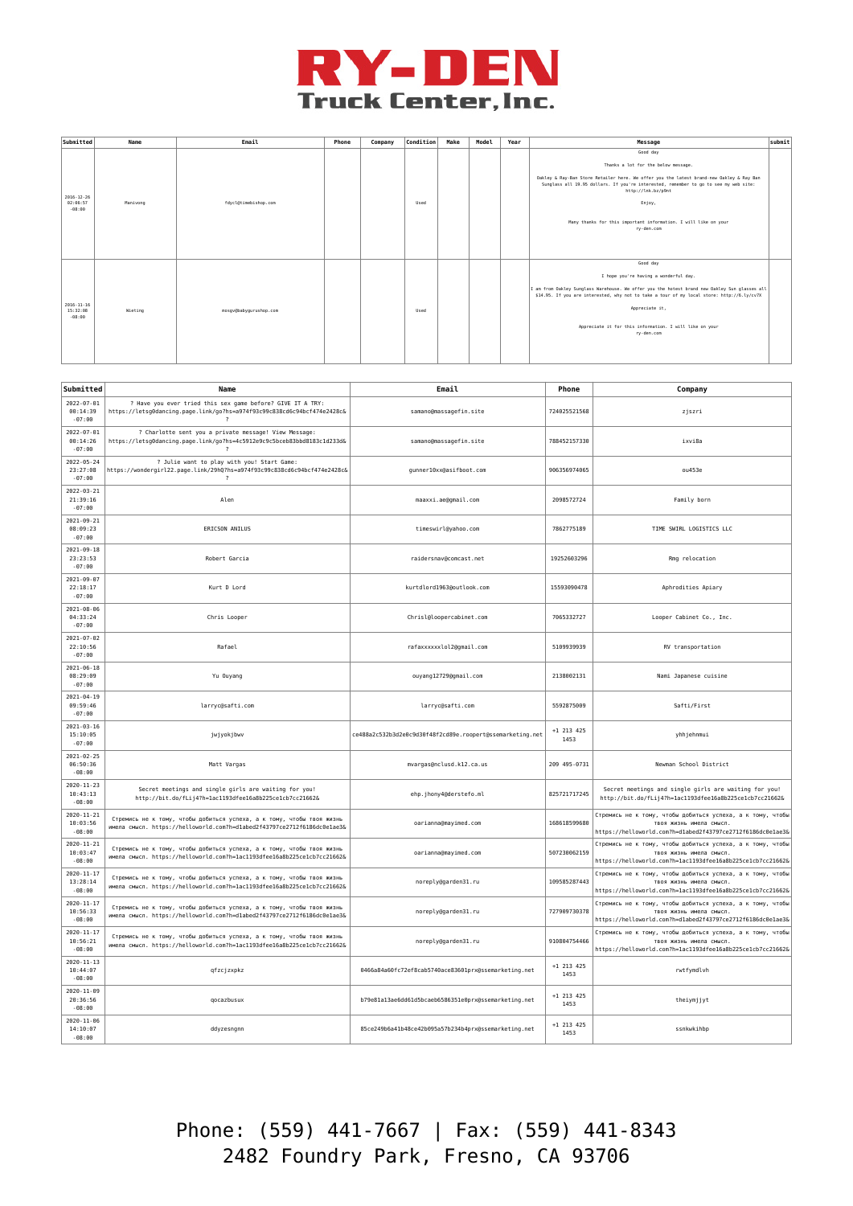

| Submitted                                | Name     | Email                  | Phone | Company | Condition | Make | Model | Year | Message                                                                                                                                                                                                                                                                                                                                              | submit |
|------------------------------------------|----------|------------------------|-------|---------|-----------|------|-------|------|------------------------------------------------------------------------------------------------------------------------------------------------------------------------------------------------------------------------------------------------------------------------------------------------------------------------------------------------------|--------|
| $2016 - 12 - 26$<br>02:06:57<br>$-08:00$ | Manivong | fdycl@timebishop.com   |       |         | Used      |      |       |      | Good day<br>Thanks a lot for the below message.<br>Oakley & Ray-Ban Store Retailer here. We offer you the latest brand-new Oakley & Ray Ban<br>Sunglass all 19.95 dollars. If you're interested, remember to go to see my web site:<br>http://lnk.bz/p9nt<br>Enjoy,<br>Many thanks for this important information. I will like on your<br>ry-den.com |        |
| $2016 - 11 - 16$<br>15:32:08<br>$-08:00$ | Wieting  | mosgv@babygurushop.com |       |         | Used      |      |       |      | Good day<br>I hope you're having a wonderful day.<br>I am from Oakley Sunglass Warehouse. We offer you the hotest brand new Oakley Sun glasses all<br>\$14.95. If you are interested, why not to take a tour of my local store: http://6.ly/cv7X<br>Appreciate it,<br>Appreciate it for this information. I will like on your<br>ry-den.com          |        |

| Submitted                                | Name                                                                                                                                                              | Email                                                     | Phone              | Company                                                                                                                                             |
|------------------------------------------|-------------------------------------------------------------------------------------------------------------------------------------------------------------------|-----------------------------------------------------------|--------------------|-----------------------------------------------------------------------------------------------------------------------------------------------------|
| $2022 - 07 - 01$<br>00:14:39<br>$-07:00$ | ? Have you ever tried this sex game before? GIVE IT A TRY:<br>https://letsg0dancing.page.link/go?hs=a974f93c99c838cd6c94bcf474e2428c&<br>$\overline{\phantom{a}}$ | samano@massagefin.site                                    | 724025521568       | zjszri                                                                                                                                              |
| $2022 - 07 - 01$<br>00:14:26<br>$-07:00$ | ? Charlotte sent you a private message! View Message:<br>https://letsg0dancing.page.link/go?hs=4c5912e9c9c5bceb83bbd8183c1d233d&<br>$\overline{\phantom{a}}$      | samano@massagefin.site                                    | 788452157330       | ixvi8a                                                                                                                                              |
| $2022 - 05 - 24$<br>23:27:08<br>$-07:00$ | ? Julie want to play with you! Start Game:<br>https://wondergirl22.page.link/29hQ?hs=a974f93c99c838cd6c94bcf474e2428c&<br>$\overline{?}$                          | gunner10xx@asifboot.com                                   | 906356974065       | ou453e                                                                                                                                              |
| $2022 - 03 - 21$<br>21:39:16<br>$-07:00$ | Alen                                                                                                                                                              | maaxxi.ae@gmail.com                                       | 2098572724         | Family born                                                                                                                                         |
| 2021-09-21<br>08:09:23<br>$-07:00$       | ERICSON ANILUS                                                                                                                                                    | timeswirl@yahoo.com                                       | 7862775189         | TIME SWIRL LOGISTICS LLC                                                                                                                            |
| $2021 - 09 - 18$<br>23:23:53<br>$-07:00$ | Robert Garcia                                                                                                                                                     | raidersnav@comcast.net                                    | 19252603296        | Rmg relocation                                                                                                                                      |
| $2021 - 09 - 07$<br>22:18:17<br>$-07:00$ | Kurt D Lord                                                                                                                                                       | kurtdlord1963@outlook.com                                 | 15593090478        | Aphrodities Apiary                                                                                                                                  |
| $2021 - 08 - 06$<br>04:33:24<br>$-07:00$ | Chris Looper                                                                                                                                                      | Chrisl@loopercabinet.com                                  | 7065332727         | Looper Cabinet Co., Inc.                                                                                                                            |
| $2021 - 07 - 02$<br>22:10:56<br>$-07:00$ | Rafael                                                                                                                                                            | rafaxxxxxxlol2@gmail.com                                  | 5109939939         | RV transportation                                                                                                                                   |
| $2021 - 06 - 18$<br>08:29:09<br>$-07:00$ | Yu Ouyang                                                                                                                                                         | ouyang12729@gmail.com                                     | 2138002131         | Nami Japanese cuisine                                                                                                                               |
| $2021 - 04 - 19$<br>09:59:46<br>$-07:00$ | larryc@safti.com                                                                                                                                                  | larryc@safti.com                                          | 5592875009         | Safti/First                                                                                                                                         |
| $2021 - 03 - 16$<br>15:10:05<br>$-07:00$ | jwjyokjbwv                                                                                                                                                        | ce488a2c532b3d2e0c9d30f48f2cd89e.roopert@ssemarketing.net | +1 213 425<br>1453 | yhhjehnmui                                                                                                                                          |
| $2021 - 02 - 25$<br>06:50:36<br>$-08:00$ | Matt Vargas                                                                                                                                                       | mvargas@nclusd.k12.ca.us                                  | 209 495-0731       | Newman School District                                                                                                                              |
| $2020 - 11 - 23$<br>10:43:13<br>$-08:00$ | Secret meetings and single girls are waiting for you!<br>http://bit.do/fLij4?h=1ac1193dfee16a8b225ce1cb7cc21662&                                                  | ehp.jhony4@derstefo.ml                                    | 825721717245       | Secret meetings and single girls are waiting for you!<br>http://bit.do/fLij4?h=1ac1193dfee16a8b225ce1cb7cc21662&                                    |
| $2020 - 11 - 21$<br>10:03:56<br>$-08:00$ | Стремись не к тому, чтобы добиться успеха, а к тому, чтобы твоя жизнь<br>имела смысл. https://helloworld.com?h=dlabed2f43797ce2712f6186dc0elae3&                  | oarianna@mayimed.com                                      | 168618599680       | Стремись не к тому, чтобы добиться успеха, а к тому, чтобы<br>твоя жизнь имела смысл.<br>https://helloworld.com?h=dlabed2f43797ce2712f6186dc0e1ae3& |
| $2020 - 11 - 21$<br>10:03:47<br>$-08:00$ | Стремись не к тому, чтобы добиться успеха, а к тому, чтобы твоя жизнь<br>имела смысл. https://helloworld.com?h=1ac1193dfee16a8b225ce1cb7cc21662&                  | oarianna@mayimed.com                                      | 507230062159       | Стремись не к тому, чтобы добиться успеха, а к тому, чтобы<br>твоя жизнь имела смысл.<br>https://helloworld.com?h=1ac1193dfee16a8b225ce1cb7cc21662& |
| $2020 - 11 - 17$<br>13:28:14<br>$-08:00$ | Стремись не к тому, чтобы добиться успеха, а к тому, чтобы твоя жизнь<br>имела смысл. https://helloworld.com?h=1ac1193dfee16a8b225ce1cb7cc21662&                  | noreply@garden31.ru                                       | 109585287443       | Стремись не к тому, чтобы добиться успеха, а к тому, чтобы<br>твоя жизнь имела смысл.<br>https://helloworld.com?h=1ac1193dfee16a8b225ce1cb7cc21662& |
| 2020-11-17<br>10:56:33<br>$-08:00$       | Стремись не к тому, чтобы добиться успеха, а к тому, чтобы твоя жизнь<br>имела смысл. https://helloworld.com?h=dlabed2f43797ce2712f6186dc0elae3&                  | noreply@garden31.ru                                       | 727909730378       | Стремись не к тому, чтобы добиться успеха, а к тому, чтобы<br>твоя жизнь имела смысл.<br>https://helloworld.com?h=dlabed2f43797ce2712f6186dc0elae3& |
| $2020 - 11 - 17$<br>10:56:21<br>$-08:00$ | Стремись не к тому, чтобы добиться успеха, а к тому, чтобы твоя жизнь<br>имела смысл. https://helloworld.com?h=1ac1193dfee16a8b225ce1cb7cc21662&                  | noreply@garden31.ru                                       | 910804754466       | Стремись не к тому, чтобы добиться успеха, а к тому, чтобы<br>твоя жизнь имела смысл.<br>https://helloworld.com?h=1ac1193dfee16a8b225ce1cb7cc21662& |
| $2020 - 11 - 13$<br>10:44:07<br>$-08:00$ | qfzcjzxpkz                                                                                                                                                        | 0466a84a60fc72ef8cab5740ace83601prx@ssemarketing.net      | +1 213 425<br>1453 | rwtfymdlvh                                                                                                                                          |
| $2020 - 11 - 09$<br>20:36:56<br>$-08:00$ | qocazbusux                                                                                                                                                        | b79e81a13ae6dd61d5bcaeb6586351e0prx@ssemarketing.net      | +1 213 425<br>1453 | theiymjjyt                                                                                                                                          |
| $2020 - 11 - 06$<br>14:10:07<br>$-08:00$ | ddyzesngnn                                                                                                                                                        | 85ce249b6a41b48ce42b095a57b234b4prx@ssemarketing.net      | +1 213 425<br>1453 | ssnkwkihbp                                                                                                                                          |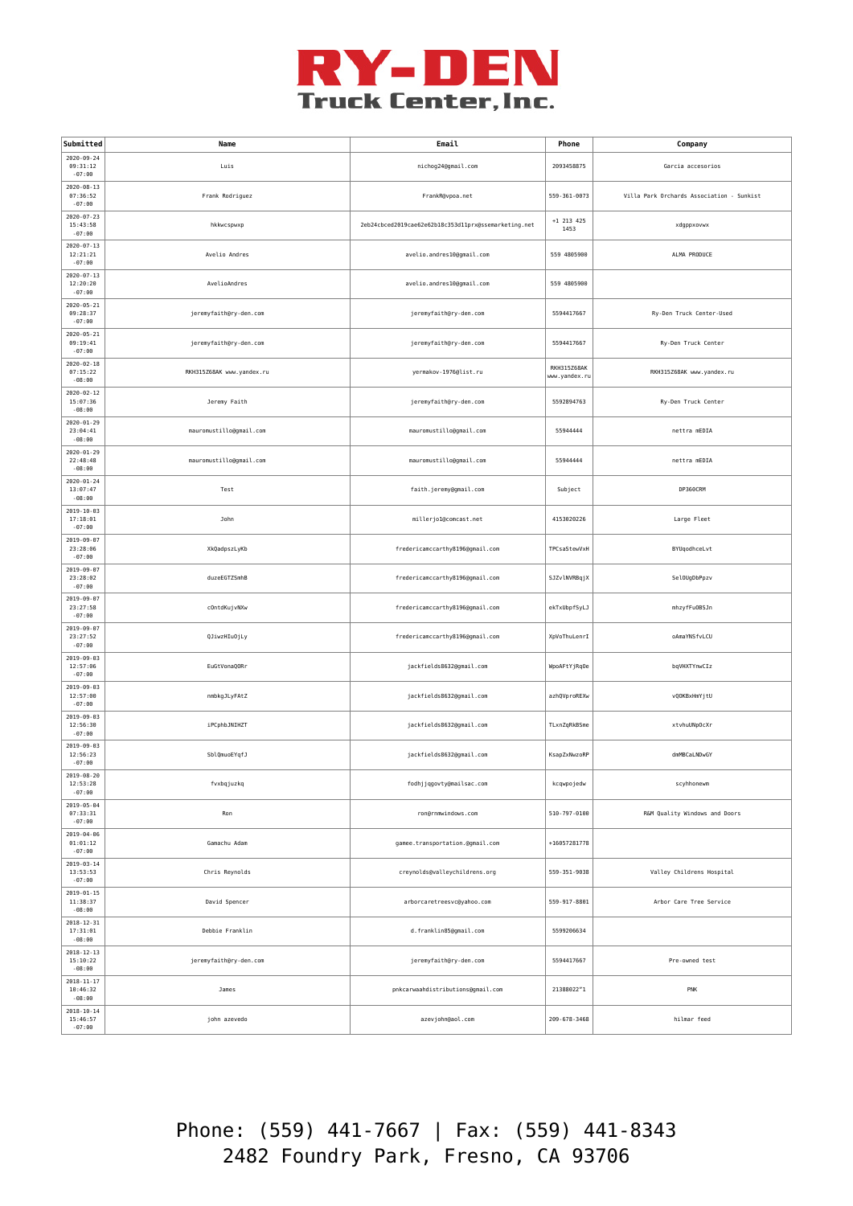

| Submitted                                  | Name                      | Email                                                | Phone                               | Company                                   |
|--------------------------------------------|---------------------------|------------------------------------------------------|-------------------------------------|-------------------------------------------|
| $2020 - 09 - 24$<br>09:31:12<br>$-07:00$   | Luis                      | nichog24@gmail.com                                   | 2093458875                          | Garcia accesorios                         |
| $2020 - 08 - 13$<br>07:36:52<br>$-07:00$   | Frank Rodriguez           | FrankR@vpoa.net                                      | 559-361-0073                        | Villa Park Orchards Association - Sunkist |
| $2020 - 07 - 23$<br>15:43:58<br>$-07:00$   | hkkwcspwxp                | 2eb24cbced2019cae62e62b18c353d11prx@ssemarketing.net | +1 213 425<br>1453                  | xdgppxovwx                                |
| $2020 - 07 - 13$<br>12:21:21<br>$-07:00$   | Avelio Andres             | avelio.andres10@gmail.com                            | 559 4805900                         | ALMA PRODUCE                              |
| $2020 - 07 - 13$<br>12:20:20<br>$-07:00$   | AvelioAndres              | avelio.andres10@gmail.com                            | 559 4805900                         |                                           |
| $2020 - 05 - 21$<br>09:28:37<br>$-07:00$   | jeremyfaith@ry-den.com    | jeremyfaith@ry-den.com                               | 5594417667                          | Ry-Den Truck Center-Used                  |
| $2020 - 05 - 21$<br>09:19:41<br>$-07:00$   | jeremyfaith@ry-den.com    | jeremyfaith@ry-den.com                               | 5594417667                          | Ry-Den Truck Center                       |
| $2020 - 02 - 18$<br>07:15:22<br>$-08:00$   | RKH315Z68AK www.yandex.ru | yermakov-1976@list.ru                                | <b>RKH315Z68AK</b><br>www.yandex.ru | RKH315Z68AK www.yandex.ru                 |
| $2020 - 02 - 12$<br>15:07:36<br>$-08:00$   | Jeremy Faith              | jeremyfaith@ry-den.com                               | 5592894763                          | Ry-Den Truck Center                       |
| 2020-01-29<br>23:04:41<br>$-08:00$         | mauromustillo@gmail.com   | mauromustillo@gmail.com                              | 55944444                            | nettra mEDIA                              |
| $2020 - 01 - 29$<br>22:48:48<br>$-08:00$   | mauromustillo@gmail.com   | mauromustillo@gmail.com                              | 55944444                            | nettra mEDIA                              |
| $2020 - 01 - 24$<br>13:07:47<br>$-08:00$   | Test                      | faith.jeremy@gmail.com                               | Subject                             | DP360CRM                                  |
| $2019 - 10 - 03$<br>17:18:01<br>$-07:00$   | John                      | millerjo1@comcast.net                                | 4153020226                          | Large Fleet                               |
| 2019-09-07<br>23:28:06<br>$-07:00$         | XkQadpszLyKb              | fredericamccarthy8196@gmail.com                      | TPCsaStewVxH                        | BYUqodhceLvt                              |
| $2019 - 09 - 07$<br>23:28:02<br>$-07:00$   | duzeEGTZSmhB              | fredericamccarthy8196@gmail.com                      | SJZvlNVRBqjX                        | SelOUgDbPpzv                              |
| 2019-09-07<br>23:27:58<br>$-07:00$         | cOntdKujvNXw              | fredericamccarthy8196@gmail.com                      | ekTxUbpfSyLJ                        | mhzyfFuOBSJn                              |
| $2019 - 09 - 07$<br>23:27:52<br>$-07:00$   | QJiwzHIuOjLy              | fredericamccarthy8196@gmail.com                      | XpVoThuLenrI                        | oAmaYNSfvLCU                              |
| $2019 - 09 - 03$<br>12:57:06<br>$-07:00$   | EuGtVonaQORr              | jackfields8632@gmail.com                             | WpoAFtYjRqOe                        | bqVHXTYnwCIz                              |
| $2019 - 09 - 03$<br>12:57:00<br>$-07:00$   | nmbkgJLyFAtZ              | jackfields8632@gmail.com                             | azhQVproREXw                        | vQOKBxHmYjtU                              |
| 2019-09-03<br>12:56:30<br>$-07:00$         | iPCphbJNIHZT              | jackfields8632@gmail.com                             | TLxnZqRkBSme                        | xtvhuUNpOcXr                              |
| $2019 - 09 - 03$<br>12:56:23<br>$-07:00$   | SblQmuoEYqfJ              | jackfields8632@gmail.com                             | KsapZxNwzoRP                        | dmMBCaLNDwGY                              |
| $2019 - 08 - 20$<br>12:53:28<br>$-07:00$   | fvxbqjuzkq                | fodhjjqgovty@mailsac.com                             | kcqwpojedw                          | scyhhonewm                                |
| $2019 - 05 - 04$<br>07:33:31<br>$-07:00$   | Ron                       | ron@rnmwindows.com                                   | 510-797-0100                        | R&M Quality Windows and Doors             |
| $2019 - 04 - 06$<br>$01:01:12$<br>$-07:00$ | Gamachu Adam              | gamee.transportation.@gmail.com                      | +16057281778                        |                                           |
| 2019-03-14<br>13:53:53<br>$-07:00$         | Chris Reynolds            | creynolds@valleychildrens.org                        | 559-351-9038                        | Valley Childrens Hospital                 |
| $2019 - 01 - 15$<br>11:38:37<br>$-08:00$   | David Spencer             | arborcaretreesvc@yahoo.com                           | 559-917-8801                        | Arbor Care Tree Service                   |
| $2018 - 12 - 31$<br>17:31:01<br>$-08:00$   | Debbie Franklin           | d.franklin85@gmail.com                               | 5599206634                          |                                           |
| $2018 - 12 - 13$<br>15:10:22<br>$-08:00$   | jeremyfaith@ry-den.com    | jeremyfaith@ry-den.com                               | 5594417667                          | Pre-owned test                            |
| $2018 - 11 - 17$<br>10:46:32<br>$-08:00$   | James                     | pnkcarwaahdistributions@gmail.com                    | 21388022"1                          | PNK                                       |
| $2018 - 10 - 14$<br>15:46:57<br>$-07:00$   | john azevedo              | azevjohn@aol.com                                     | 209-678-3468                        | hilmar feed                               |